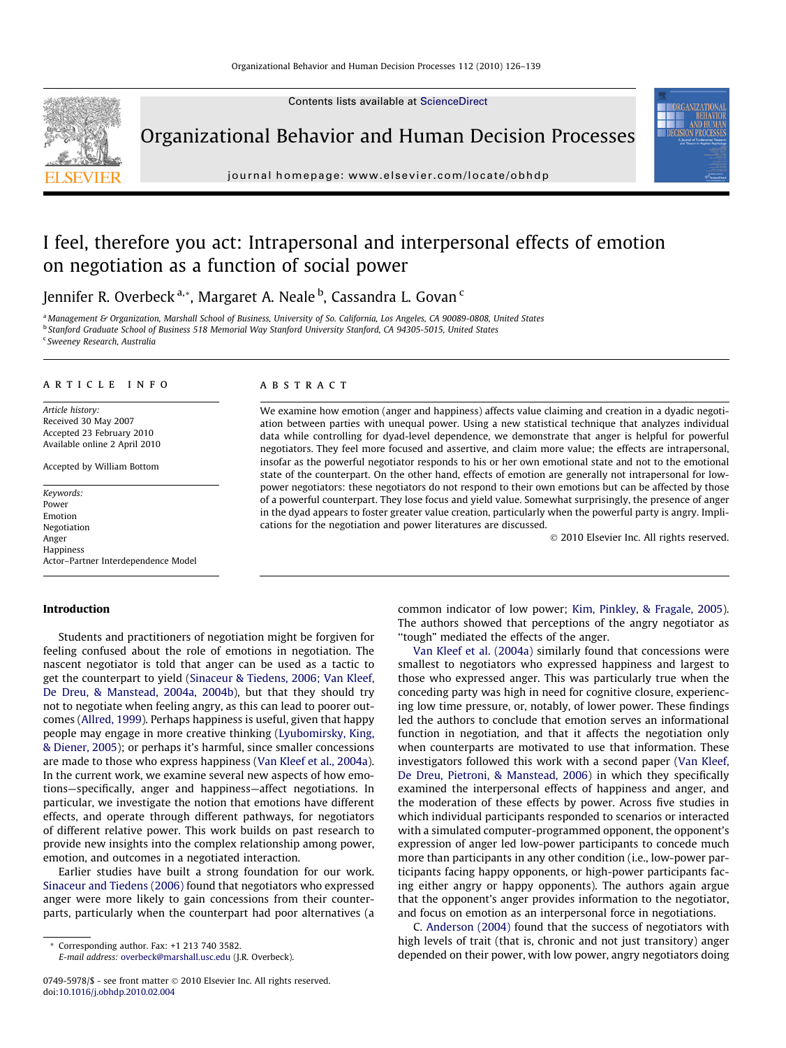Contents lists available at [ScienceDirect](http://www.sciencedirect.com/science/journal/07495978)



Organizational Behavior and Human Decision Processes

journal homepage: [www.elsevier.com/locate/obhdp](http://www.elsevier.com/locate/obhdp)

# I feel, therefore you act: Intrapersonal and interpersonal effects of emotion on negotiation as a function of social power

Jennifer R. Overbeck <sup>a,</sup>\*, Margaret A. Neale <sup>b</sup>, Cassandra L. Govan <sup>c</sup>

a Management & Organization, Marshall School of Business, University of So. California, Los Angeles, CA 90089-0808, United States <sup>b</sup> Stanford Graduate School of Business 518 Memorial Way Stanford University Stanford, CA 94305-5015, United States

<sup>c</sup> Sweeney Research, Australia

# article info

Article history: Received 30 May 2007 Accepted 23 February 2010 Available online 2 April 2010

Accepted by William Bottom

Keywords: Power Emotion Negotiation Anger Happiness Actor–Partner Interdependence Model

## Introduction

Students and practitioners of negotiation might be forgiven for feeling confused about the role of emotions in negotiation. The nascent negotiator is told that anger can be used as a tactic to get the counterpart to yield ([Sinaceur & Tiedens, 2006; Van Kleef,](#page-13-0) [De Dreu, & Manstead, 2004a, 2004b\)](#page-13-0), but that they should try not to negotiate when feeling angry, as this can lead to poorer outcomes ([Allred, 1999](#page-12-0)). Perhaps happiness is useful, given that happy people may engage in more creative thinking [\(Lyubomirsky, King,](#page-13-0) [& Diener, 2005\)](#page-13-0); or perhaps it's harmful, since smaller concessions are made to those who express happiness [\(Van Kleef et al., 2004a\)](#page-13-0). In the current work, we examine several new aspects of how emotions—specifically, anger and happiness—affect negotiations. In particular, we investigate the notion that emotions have different effects, and operate through different pathways, for negotiators of different relative power. This work builds on past research to provide new insights into the complex relationship among power, emotion, and outcomes in a negotiated interaction.

Earlier studies have built a strong foundation for our work. [Sinaceur and Tiedens \(2006\)](#page-13-0) found that negotiators who expressed anger were more likely to gain concessions from their counterparts, particularly when the counterpart had poor alternatives (a

\* Corresponding author. Fax: +1 213 740 3582.

E-mail address: [overbeck@marshall.usc.edu](mailto:overbeck@marshall.usc.edu) (J.R. Overbeck).

#### **ABSTRACT**

We examine how emotion (anger and happiness) affects value claiming and creation in a dyadic negotiation between parties with unequal power. Using a new statistical technique that analyzes individual data while controlling for dyad-level dependence, we demonstrate that anger is helpful for powerful negotiators. They feel more focused and assertive, and claim more value; the effects are intrapersonal, insofar as the powerful negotiator responds to his or her own emotional state and not to the emotional state of the counterpart. On the other hand, effects of emotion are generally not intrapersonal for lowpower negotiators: these negotiators do not respond to their own emotions but can be affected by those of a powerful counterpart. They lose focus and yield value. Somewhat surprisingly, the presence of anger in the dyad appears to foster greater value creation, particularly when the powerful party is angry. Implications for the negotiation and power literatures are discussed.

- 2010 Elsevier Inc. All rights reserved.

common indicator of low power; [Kim, Pinkley, & Fragale, 2005\)](#page-13-0). The authors showed that perceptions of the angry negotiator as ''tough" mediated the effects of the anger.

[Van Kleef et al. \(2004a\)](#page-13-0) similarly found that concessions were smallest to negotiators who expressed happiness and largest to those who expressed anger. This was particularly true when the conceding party was high in need for cognitive closure, experiencing low time pressure, or, notably, of lower power. These findings led the authors to conclude that emotion serves an informational function in negotiation, and that it affects the negotiation only when counterparts are motivated to use that information. These investigators followed this work with a second paper [\(Van Kleef,](#page-13-0) [De Dreu, Pietroni, & Manstead, 2006\)](#page-13-0) in which they specifically examined the interpersonal effects of happiness and anger, and the moderation of these effects by power. Across five studies in which individual participants responded to scenarios or interacted with a simulated computer-programmed opponent, the opponent's expression of anger led low-power participants to concede much more than participants in any other condition (i.e., low-power participants facing happy opponents, or high-power participants facing either angry or happy opponents). The authors again argue that the opponent's anger provides information to the negotiator, and focus on emotion as an interpersonal force in negotiations.

C. [Anderson \(2004\)](#page-12-0) found that the success of negotiators with high levels of trait (that is, chronic and not just transitory) anger depended on their power, with low power, angry negotiators doing

<sup>0749-5978/\$ -</sup> see front matter © 2010 Elsevier Inc. All rights reserved. doi:[10.1016/j.obhdp.2010.02.004](http://dx.doi.org/10.1016/j.obhdp.2010.02.004)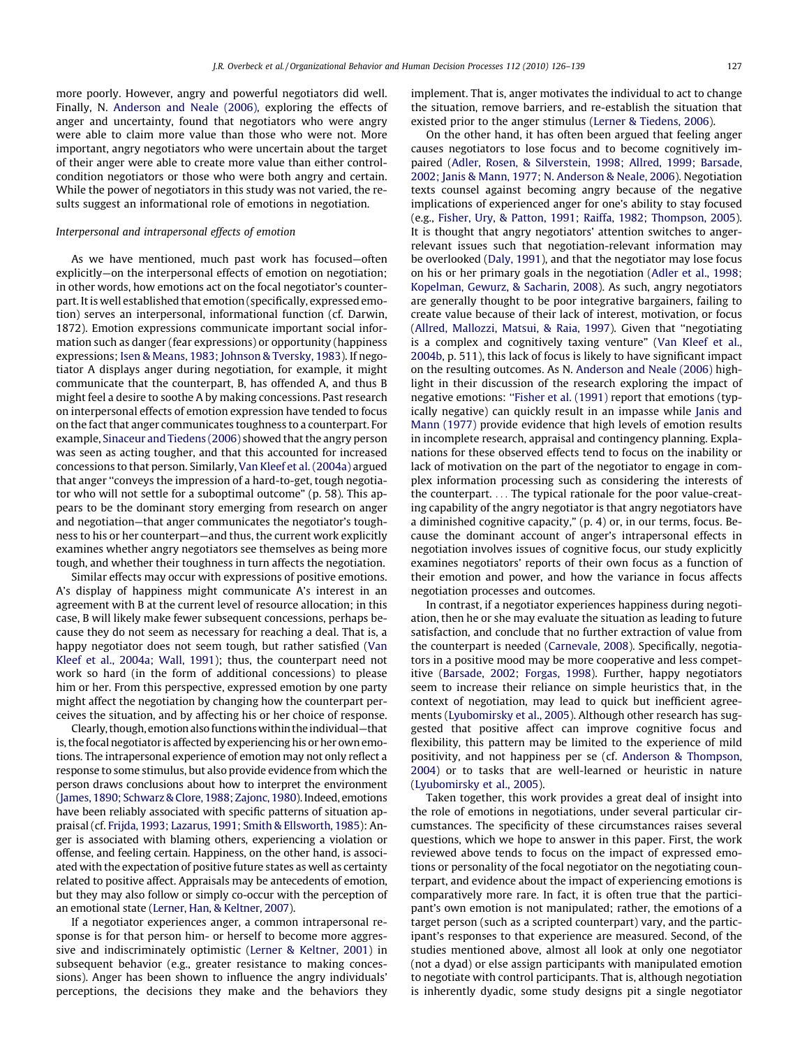more poorly. However, angry and powerful negotiators did well. Finally, N. [Anderson and Neale \(2006\),](#page-12-0) exploring the effects of anger and uncertainty, found that negotiators who were angry were able to claim more value than those who were not. More important, angry negotiators who were uncertain about the target of their anger were able to create more value than either controlcondition negotiators or those who were both angry and certain. While the power of negotiators in this study was not varied, the results suggest an informational role of emotions in negotiation.

## Interpersonal and intrapersonal effects of emotion

As we have mentioned, much past work has focused—often explicitly—on the interpersonal effects of emotion on negotiation; in other words, how emotions act on the focal negotiator's counterpart. It is well established that emotion (specifically, expressed emotion) serves an interpersonal, informational function (cf. Darwin, 1872). Emotion expressions communicate important social information such as danger (fear expressions) or opportunity (happiness expressions; [Isen & Means, 1983; Johnson & Tversky, 1983\)](#page-12-0). If negotiator A displays anger during negotiation, for example, it might communicate that the counterpart, B, has offended A, and thus B might feel a desire to soothe A by making concessions. Past research on interpersonal effects of emotion expression have tended to focus on the fact that anger communicates toughness to a counterpart. For example, [Sinaceur and Tiedens \(2006\)](#page-13-0) showed that the angry person was seen as acting tougher, and that this accounted for increased concessions to that person. Similarly, [Van Kleef et al. \(2004a\)](#page-13-0) argued that anger ''conveys the impression of a hard-to-get, tough negotiator who will not settle for a suboptimal outcome" (p. 58). This appears to be the dominant story emerging from research on anger and negotiation—that anger communicates the negotiator's toughness to his or her counterpart—and thus, the current work explicitly examines whether angry negotiators see themselves as being more tough, and whether their toughness in turn affects the negotiation.

Similar effects may occur with expressions of positive emotions. A's display of happiness might communicate A's interest in an agreement with B at the current level of resource allocation; in this case, B will likely make fewer subsequent concessions, perhaps because they do not seem as necessary for reaching a deal. That is, a happy negotiator does not seem tough, but rather satisfied ([Van](#page-13-0) [Kleef et al., 2004a; Wall, 1991\)](#page-13-0); thus, the counterpart need not work so hard (in the form of additional concessions) to please him or her. From this perspective, expressed emotion by one party might affect the negotiation by changing how the counterpart perceives the situation, and by affecting his or her choice of response.

Clearly, though, emotion also functionswithin the individual—that is, the focal negotiator is affected by experiencing his or her own emotions. The intrapersonal experience of emotion may not only reflect a response to some stimulus, but also provide evidence from which the person draws conclusions about how to interpret the environment ([James, 1890; Schwarz & Clore, 1988; Zajonc, 1980](#page-12-0)). Indeed, emotions have been reliably associated with specific patterns of situation appraisal (cf. [Frijda, 1993; Lazarus, 1991; Smith & Ellsworth, 1985\)](#page-12-0): Anger is associated with blaming others, experiencing a violation or offense, and feeling certain. Happiness, on the other hand, is associated with the expectation of positive future states as well as certainty related to positive affect. Appraisals may be antecedents of emotion, but they may also follow or simply co-occur with the perception of an emotional state ([Lerner, Han, & Keltner, 2007](#page-13-0)).

If a negotiator experiences anger, a common intrapersonal response is for that person him- or herself to become more aggressive and indiscriminately optimistic ([Lerner & Keltner, 2001](#page-13-0)) in subsequent behavior (e.g., greater resistance to making concessions). Anger has been shown to influence the angry individuals' perceptions, the decisions they make and the behaviors they implement. That is, anger motivates the individual to act to change the situation, remove barriers, and re-establish the situation that existed prior to the anger stimulus ([Lerner & Tiedens, 2006\)](#page-13-0).

On the other hand, it has often been argued that feeling anger causes negotiators to lose focus and to become cognitively impaired [\(Adler, Rosen, & Silverstein, 1998; Allred, 1999; Barsade,](#page-12-0) [2002; Janis & Mann, 1977; N. Anderson & Neale, 2006\)](#page-12-0). Negotiation texts counsel against becoming angry because of the negative implications of experienced anger for one's ability to stay focused (e.g., [Fisher, Ury, & Patton, 1991; Raiffa, 1982; Thompson, 2005\)](#page-12-0). It is thought that angry negotiators' attention switches to angerrelevant issues such that negotiation-relevant information may be overlooked ([Daly, 1991](#page-12-0)), and that the negotiator may lose focus on his or her primary goals in the negotiation (Adler et [al., 1998;](#page-12-0) [Kopelman, Gewurz, & Sacharin, 2008](#page-12-0)). As such, angry negotiators are generally thought to be poor integrative bargainers, failing to create value because of their lack of interest, motivation, or focus ([Allred, Mallozzi, Matsui, & Raia, 1997](#page-12-0)). Given that ''negotiating is a complex and cognitively taxing venture" [\(Van Kleef et al.,](#page-13-0) [2004b](#page-13-0), p. 511), this lack of focus is likely to have significant impact on the resulting outcomes. As N. [Anderson and Neale \(2006\)](#page-12-0) highlight in their discussion of the research exploring the impact of negative emotions: "Fisher et al. (1991) report that emotions (typically negative) can quickly result in an impasse while [Janis and](#page-13-0) [Mann \(1977\)](#page-13-0) provide evidence that high levels of emotion results in incomplete research, appraisal and contingency planning. Explanations for these observed effects tend to focus on the inability or lack of motivation on the part of the negotiator to engage in complex information processing such as considering the interests of the counterpart. ... The typical rationale for the poor value-creating capability of the angry negotiator is that angry negotiators have a diminished cognitive capacity," (p. 4) or, in our terms, focus. Because the dominant account of anger's intrapersonal effects in negotiation involves issues of cognitive focus, our study explicitly examines negotiators' reports of their own focus as a function of their emotion and power, and how the variance in focus affects negotiation processes and outcomes.

In contrast, if a negotiator experiences happiness during negotiation, then he or she may evaluate the situation as leading to future satisfaction, and conclude that no further extraction of value from the counterpart is needed ([Carnevale, 2008\)](#page-12-0). Specifically, negotiators in a positive mood may be more cooperative and less competitive ([Barsade, 2002; Forgas, 1998](#page-12-0)). Further, happy negotiators seem to increase their reliance on simple heuristics that, in the context of negotiation, may lead to quick but inefficient agreements [\(Lyubomirsky et al., 2005\)](#page-13-0). Although other research has suggested that positive affect can improve cognitive focus and flexibility, this pattern may be limited to the experience of mild positivity, and not happiness per se (cf. [Anderson & Thompson,](#page-12-0) [2004](#page-12-0)) or to tasks that are well-learned or heuristic in nature ([Lyubomirsky et al., 2005](#page-13-0)).

Taken together, this work provides a great deal of insight into the role of emotions in negotiations, under several particular circumstances. The specificity of these circumstances raises several questions, which we hope to answer in this paper. First, the work reviewed above tends to focus on the impact of expressed emotions or personality of the focal negotiator on the negotiating counterpart, and evidence about the impact of experiencing emotions is comparatively more rare. In fact, it is often true that the participant's own emotion is not manipulated; rather, the emotions of a target person (such as a scripted counterpart) vary, and the participant's responses to that experience are measured. Second, of the studies mentioned above, almost all look at only one negotiator (not a dyad) or else assign participants with manipulated emotion to negotiate with control participants. That is, although negotiation is inherently dyadic, some study designs pit a single negotiator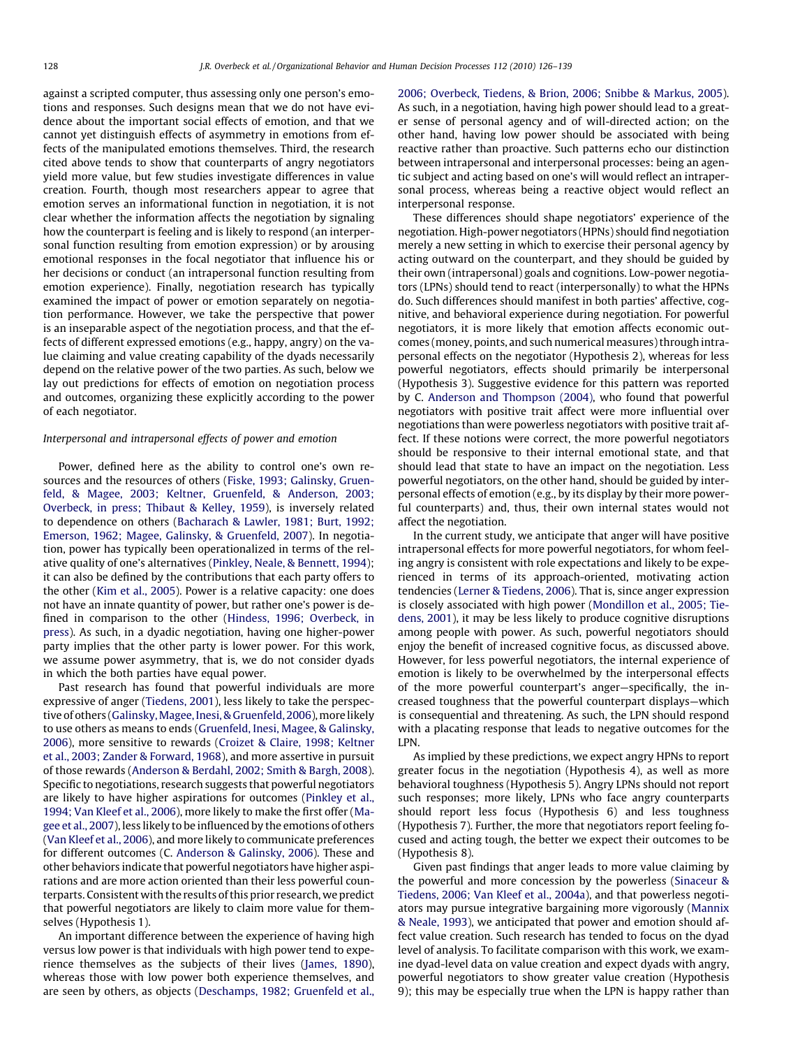against a scripted computer, thus assessing only one person's emotions and responses. Such designs mean that we do not have evidence about the important social effects of emotion, and that we cannot yet distinguish effects of asymmetry in emotions from effects of the manipulated emotions themselves. Third, the research cited above tends to show that counterparts of angry negotiators yield more value, but few studies investigate differences in value creation. Fourth, though most researchers appear to agree that emotion serves an informational function in negotiation, it is not clear whether the information affects the negotiation by signaling how the counterpart is feeling and is likely to respond (an interpersonal function resulting from emotion expression) or by arousing emotional responses in the focal negotiator that influence his or her decisions or conduct (an intrapersonal function resulting from emotion experience). Finally, negotiation research has typically examined the impact of power or emotion separately on negotiation performance. However, we take the perspective that power is an inseparable aspect of the negotiation process, and that the effects of different expressed emotions (e.g., happy, angry) on the value claiming and value creating capability of the dyads necessarily depend on the relative power of the two parties. As such, below we lay out predictions for effects of emotion on negotiation process and outcomes, organizing these explicitly according to the power of each negotiator.

# Interpersonal and intrapersonal effects of power and emotion

Power, defined here as the ability to control one's own resources and the resources of others [\(Fiske, 1993; Galinsky, Gruen](#page-12-0)[feld, & Magee, 2003; Keltner, Gruenfeld, & Anderson, 2003;](#page-12-0) [Overbeck, in press; Thibaut & Kelley, 1959\)](#page-12-0), is inversely related to dependence on others ([Bacharach & Lawler, 1981; Burt, 1992;](#page-12-0) [Emerson, 1962; Magee, Galinsky, & Gruenfeld, 2007\)](#page-12-0). In negotiation, power has typically been operationalized in terms of the relative quality of one's alternatives [\(Pinkley, Neale, & Bennett, 1994\)](#page-13-0); it can also be defined by the contributions that each party offers to the other [\(Kim et al., 2005](#page-13-0)). Power is a relative capacity: one does not have an innate quantity of power, but rather one's power is defined in comparison to the other [\(Hindess, 1996; Overbeck, in](#page-12-0) [press](#page-12-0)). As such, in a dyadic negotiation, having one higher-power party implies that the other party is lower power. For this work, we assume power asymmetry, that is, we do not consider dyads in which the both parties have equal power.

Past research has found that powerful individuals are more expressive of anger ([Tiedens, 2001\)](#page-13-0), less likely to take the perspective of others (Galinsky, Magee, Inesi, & Gruenfeld, 2006), more likely to use others as means to ends ([Gruenfeld, Inesi, Magee, & Galinsky,](#page-12-0) [2006\)](#page-12-0), more sensitive to rewards [\(Croizet & Claire, 1998; Keltner](#page-12-0) [et al., 2003; Zander & Forward, 1968\)](#page-12-0), and more assertive in pursuit of those rewards [\(Anderson & Berdahl, 2002; Smith & Bargh, 2008\)](#page-12-0). Specific to negotiations, research suggests that powerful negotiators are likely to have higher aspirations for outcomes ([Pinkley et al.,](#page-13-0) [1994; Van Kleef et al., 2006](#page-13-0)), more likely to make the first offer ([Ma](#page-13-0)[gee et al., 2007\)](#page-13-0), less likely to be influenced by the emotions of others ([Van Kleef et al., 2006](#page-13-0)), and more likely to communicate preferences for different outcomes (C. [Anderson & Galinsky, 2006](#page-12-0)). These and other behaviors indicate that powerful negotiators have higher aspirations and are more action oriented than their less powerful counterparts. Consistent with the results of this prior research, we predict that powerful negotiators are likely to claim more value for themselves (Hypothesis 1).

An important difference between the experience of having high versus low power is that individuals with high power tend to experience themselves as the subjects of their lives [\(James, 1890\)](#page-12-0), whereas those with low power both experience themselves, and are seen by others, as objects ([Deschamps, 1982; Gruenfeld et al.,](#page-12-0)

[2006; Overbeck, Tiedens, & Brion, 2006; Snibbe & Markus, 2005\)](#page-12-0). As such, in a negotiation, having high power should lead to a greater sense of personal agency and of will-directed action; on the other hand, having low power should be associated with being reactive rather than proactive. Such patterns echo our distinction between intrapersonal and interpersonal processes: being an agentic subject and acting based on one's will would reflect an intrapersonal process, whereas being a reactive object would reflect an interpersonal response.

These differences should shape negotiators' experience of the negotiation. High-power negotiators (HPNs) should find negotiation merely a new setting in which to exercise their personal agency by acting outward on the counterpart, and they should be guided by their own (intrapersonal) goals and cognitions. Low-power negotiators (LPNs) should tend to react (interpersonally) to what the HPNs do. Such differences should manifest in both parties' affective, cognitive, and behavioral experience during negotiation. For powerful negotiators, it is more likely that emotion affects economic outcomes (money, points, and such numerical measures) through intrapersonal effects on the negotiator (Hypothesis 2), whereas for less powerful negotiators, effects should primarily be interpersonal (Hypothesis 3). Suggestive evidence for this pattern was reported by C. [Anderson and Thompson \(2004\)](#page-12-0), who found that powerful negotiators with positive trait affect were more influential over negotiations than were powerless negotiators with positive trait affect. If these notions were correct, the more powerful negotiators should be responsive to their internal emotional state, and that should lead that state to have an impact on the negotiation. Less powerful negotiators, on the other hand, should be guided by interpersonal effects of emotion (e.g., by its display by their more powerful counterparts) and, thus, their own internal states would not affect the negotiation.

In the current study, we anticipate that anger will have positive intrapersonal effects for more powerful negotiators, for whom feeling angry is consistent with role expectations and likely to be experienced in terms of its approach-oriented, motivating action tendencies [\(Lerner & Tiedens, 2006\)](#page-13-0). That is, since anger expression is closely associated with high power [\(Mondillon et al., 2005; Tie](#page-13-0)[dens, 2001\)](#page-13-0), it may be less likely to produce cognitive disruptions among people with power. As such, powerful negotiators should enjoy the benefit of increased cognitive focus, as discussed above. However, for less powerful negotiators, the internal experience of emotion is likely to be overwhelmed by the interpersonal effects of the more powerful counterpart's anger—specifically, the increased toughness that the powerful counterpart displays—which is consequential and threatening. As such, the LPN should respond with a placating response that leads to negative outcomes for the LPN.

As implied by these predictions, we expect angry HPNs to report greater focus in the negotiation (Hypothesis 4), as well as more behavioral toughness (Hypothesis 5). Angry LPNs should not report such responses; more likely, LPNs who face angry counterparts should report less focus (Hypothesis 6) and less toughness (Hypothesis 7). Further, the more that negotiators report feeling focused and acting tough, the better we expect their outcomes to be (Hypothesis 8).

Given past findings that anger leads to more value claiming by the powerful and more concession by the powerless [\(Sinaceur &](#page-13-0) [Tiedens, 2006; Van Kleef et al., 2004a\)](#page-13-0), and that powerless negotiators may pursue integrative bargaining more vigorously [\(Mannix](#page-13-0) [& Neale, 1993](#page-13-0)), we anticipated that power and emotion should affect value creation. Such research has tended to focus on the dyad level of analysis. To facilitate comparison with this work, we examine dyad-level data on value creation and expect dyads with angry, powerful negotiators to show greater value creation (Hypothesis 9); this may be especially true when the LPN is happy rather than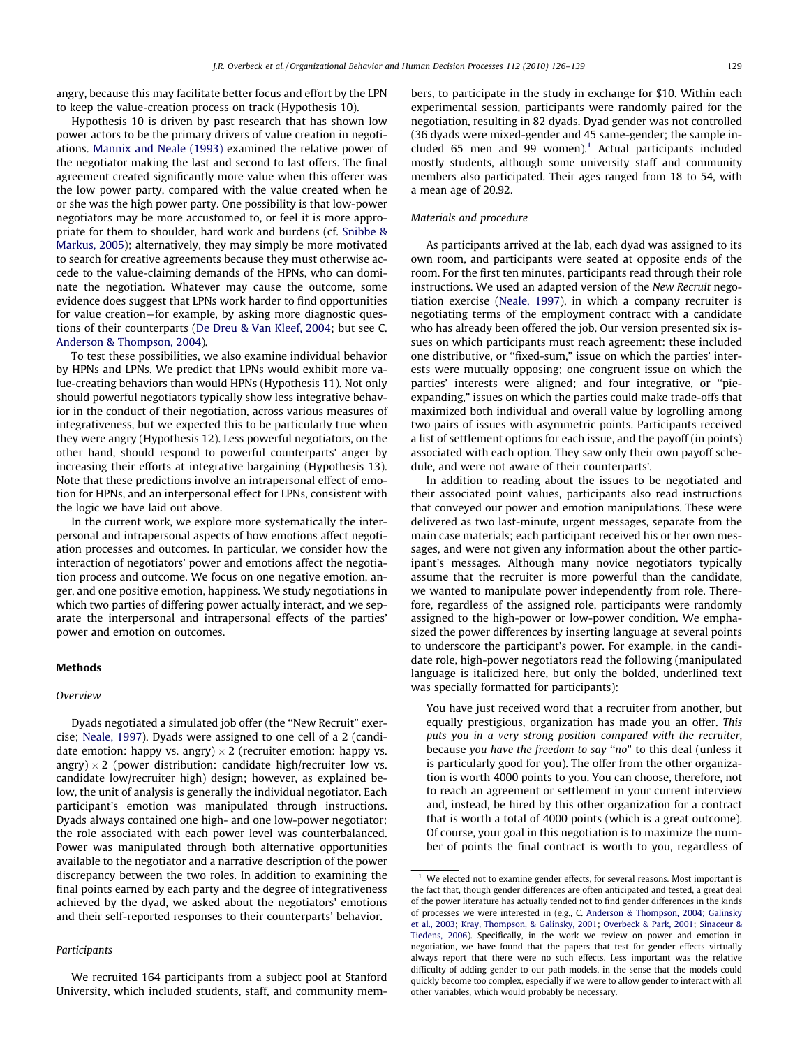angry, because this may facilitate better focus and effort by the LPN to keep the value-creation process on track (Hypothesis 10).

Hypothesis 10 is driven by past research that has shown low power actors to be the primary drivers of value creation in negotiations. [Mannix and Neale \(1993\)](#page-13-0) examined the relative power of the negotiator making the last and second to last offers. The final agreement created significantly more value when this offerer was the low power party, compared with the value created when he or she was the high power party. One possibility is that low-power negotiators may be more accustomed to, or feel it is more appropriate for them to shoulder, hard work and burdens (cf. [Snibbe &](#page-13-0) [Markus, 2005](#page-13-0)); alternatively, they may simply be more motivated to search for creative agreements because they must otherwise accede to the value-claiming demands of the HPNs, who can dominate the negotiation. Whatever may cause the outcome, some evidence does suggest that LPNs work harder to find opportunities for value creation—for example, by asking more diagnostic questions of their counterparts ([De Dreu & Van Kleef, 2004;](#page-12-0) but see C. [Anderson & Thompson, 2004\)](#page-12-0).

To test these possibilities, we also examine individual behavior by HPNs and LPNs. We predict that LPNs would exhibit more value-creating behaviors than would HPNs (Hypothesis 11). Not only should powerful negotiators typically show less integrative behavior in the conduct of their negotiation, across various measures of integrativeness, but we expected this to be particularly true when they were angry (Hypothesis 12). Less powerful negotiators, on the other hand, should respond to powerful counterparts' anger by increasing their efforts at integrative bargaining (Hypothesis 13). Note that these predictions involve an intrapersonal effect of emotion for HPNs, and an interpersonal effect for LPNs, consistent with the logic we have laid out above.

In the current work, we explore more systematically the interpersonal and intrapersonal aspects of how emotions affect negotiation processes and outcomes. In particular, we consider how the interaction of negotiators' power and emotions affect the negotiation process and outcome. We focus on one negative emotion, anger, and one positive emotion, happiness. We study negotiations in which two parties of differing power actually interact, and we separate the interpersonal and intrapersonal effects of the parties' power and emotion on outcomes.

## Methods

## Overview

Dyads negotiated a simulated job offer (the ''New Recruit" exercise; [Neale, 1997\)](#page-13-0). Dyads were assigned to one cell of a 2 (candidate emotion: happy vs. angry)  $\times$  2 (recruiter emotion: happy vs. angry) $\times$  2 (power distribution: candidate high/recruiter low vs. candidate low/recruiter high) design; however, as explained below, the unit of analysis is generally the individual negotiator. Each participant's emotion was manipulated through instructions. Dyads always contained one high- and one low-power negotiator; the role associated with each power level was counterbalanced. Power was manipulated through both alternative opportunities available to the negotiator and a narrative description of the power discrepancy between the two roles. In addition to examining the final points earned by each party and the degree of integrativeness achieved by the dyad, we asked about the negotiators' emotions and their self-reported responses to their counterparts' behavior.

## Participants

We recruited 164 participants from a subject pool at Stanford University, which included students, staff, and community members, to participate in the study in exchange for \$10. Within each experimental session, participants were randomly paired for the negotiation, resulting in 82 dyads. Dyad gender was not controlled (36 dyads were mixed-gender and 45 same-gender; the sample included 65 men and 99 women).<sup>1</sup> Actual participants included mostly students, although some university staff and community members also participated. Their ages ranged from 18 to 54, with a mean age of 20.92.

## Materials and procedure

As participants arrived at the lab, each dyad was assigned to its own room, and participants were seated at opposite ends of the room. For the first ten minutes, participants read through their role instructions. We used an adapted version of the New Recruit negotiation exercise [\(Neale, 1997\)](#page-13-0), in which a company recruiter is negotiating terms of the employment contract with a candidate who has already been offered the job. Our version presented six issues on which participants must reach agreement: these included one distributive, or ''fixed-sum," issue on which the parties' interests were mutually opposing; one congruent issue on which the parties' interests were aligned; and four integrative, or ''pieexpanding," issues on which the parties could make trade-offs that maximized both individual and overall value by logrolling among two pairs of issues with asymmetric points. Participants received a list of settlement options for each issue, and the payoff (in points) associated with each option. They saw only their own payoff schedule, and were not aware of their counterparts'.

In addition to reading about the issues to be negotiated and their associated point values, participants also read instructions that conveyed our power and emotion manipulations. These were delivered as two last-minute, urgent messages, separate from the main case materials; each participant received his or her own messages, and were not given any information about the other participant's messages. Although many novice negotiators typically assume that the recruiter is more powerful than the candidate, we wanted to manipulate power independently from role. Therefore, regardless of the assigned role, participants were randomly assigned to the high-power or low-power condition. We emphasized the power differences by inserting language at several points to underscore the participant's power. For example, in the candidate role, high-power negotiators read the following (manipulated language is italicized here, but only the bolded, underlined text was specially formatted for participants):

You have just received word that a recruiter from another, but equally prestigious, organization has made you an offer. This puts you in a very strong position compared with the recruiter, because you have the freedom to say ''no" to this deal (unless it is particularly good for you). The offer from the other organization is worth 4000 points to you. You can choose, therefore, not to reach an agreement or settlement in your current interview and, instead, be hired by this other organization for a contract that is worth a total of 4000 points (which is a great outcome). Of course, your goal in this negotiation is to maximize the number of points the final contract is worth to you, regardless of

 $1$  We elected not to examine gender effects, for several reasons. Most important is the fact that, though gender differences are often anticipated and tested, a great deal of the power literature has actually tended not to find gender differences in the kinds of processes we were interested in (e.g., C. [Anderson & Thompson, 2004; Galinsky](#page-12-0) [et al., 2003;](#page-12-0) [Kray, Thompson, & Galinsky, 2001;](#page-13-0) [Overbeck & Park, 2001;](#page-13-0) [Sinaceur &](#page-13-0) [Tiedens, 2006](#page-13-0)). Specifically, in the work we review on power and emotion in negotiation, we have found that the papers that test for gender effects virtually always report that there were no such effects. Less important was the relative difficulty of adding gender to our path models, in the sense that the models could quickly become too complex, especially if we were to allow gender to interact with all other variables, which would probably be necessary.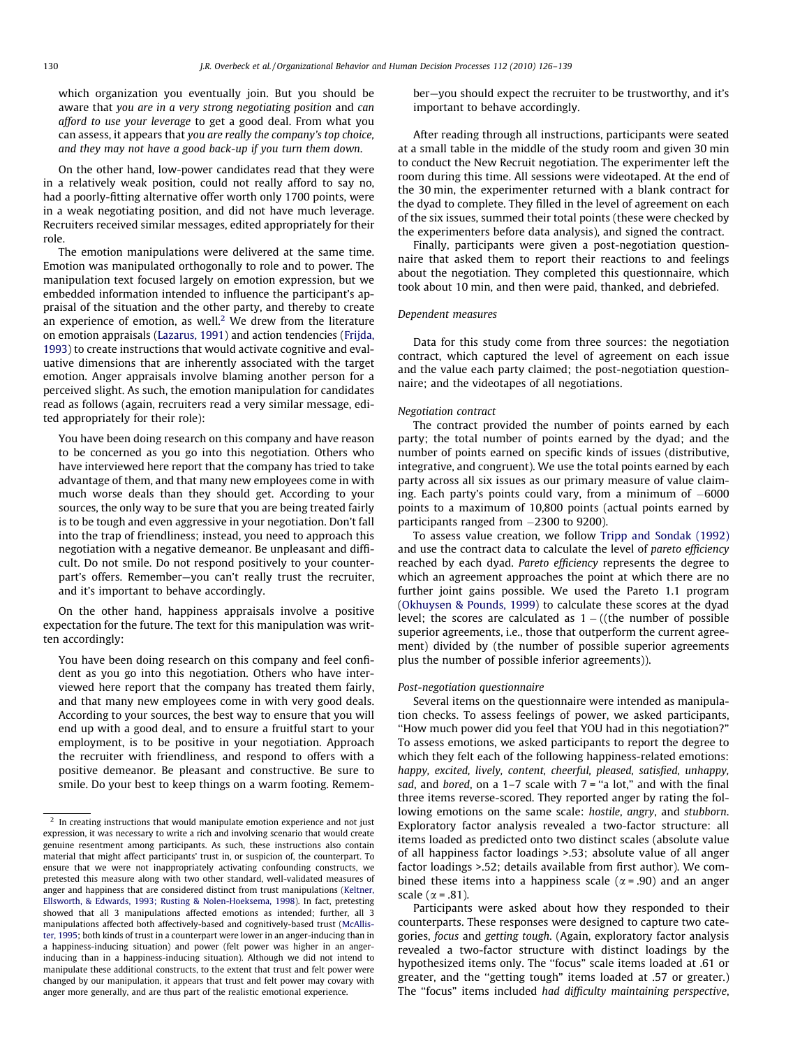which organization you eventually join. But you should be aware that you are in a very strong negotiating position and can afford to use your leverage to get a good deal. From what you can assess, it appears that you are really the company's top choice, and they may not have a good back-up if you turn them down.

On the other hand, low-power candidates read that they were in a relatively weak position, could not really afford to say no, had a poorly-fitting alternative offer worth only 1700 points, were in a weak negotiating position, and did not have much leverage. Recruiters received similar messages, edited appropriately for their role.

The emotion manipulations were delivered at the same time. Emotion was manipulated orthogonally to role and to power. The manipulation text focused largely on emotion expression, but we embedded information intended to influence the participant's appraisal of the situation and the other party, and thereby to create an experience of emotion, as well. $2$  We drew from the literature on emotion appraisals ([Lazarus, 1991](#page-13-0)) and action tendencies ([Frijda,](#page-12-0) [1993](#page-12-0)) to create instructions that would activate cognitive and evaluative dimensions that are inherently associated with the target emotion. Anger appraisals involve blaming another person for a perceived slight. As such, the emotion manipulation for candidates read as follows (again, recruiters read a very similar message, edited appropriately for their role):

You have been doing research on this company and have reason to be concerned as you go into this negotiation. Others who have interviewed here report that the company has tried to take advantage of them, and that many new employees come in with much worse deals than they should get. According to your sources, the only way to be sure that you are being treated fairly is to be tough and even aggressive in your negotiation. Don't fall into the trap of friendliness; instead, you need to approach this negotiation with a negative demeanor. Be unpleasant and difficult. Do not smile. Do not respond positively to your counterpart's offers. Remember—you can't really trust the recruiter, and it's important to behave accordingly.

On the other hand, happiness appraisals involve a positive expectation for the future. The text for this manipulation was written accordingly:

You have been doing research on this company and feel confident as you go into this negotiation. Others who have interviewed here report that the company has treated them fairly, and that many new employees come in with very good deals. According to your sources, the best way to ensure that you will end up with a good deal, and to ensure a fruitful start to your employment, is to be positive in your negotiation. Approach the recruiter with friendliness, and respond to offers with a positive demeanor. Be pleasant and constructive. Be sure to smile. Do your best to keep things on a warm footing. Remember—you should expect the recruiter to be trustworthy, and it's important to behave accordingly.

After reading through all instructions, participants were seated at a small table in the middle of the study room and given 30 min to conduct the New Recruit negotiation. The experimenter left the room during this time. All sessions were videotaped. At the end of the 30 min, the experimenter returned with a blank contract for the dyad to complete. They filled in the level of agreement on each of the six issues, summed their total points (these were checked by the experimenters before data analysis), and signed the contract.

Finally, participants were given a post-negotiation questionnaire that asked them to report their reactions to and feelings about the negotiation. They completed this questionnaire, which took about 10 min, and then were paid, thanked, and debriefed.

## Dependent measures

Data for this study come from three sources: the negotiation contract, which captured the level of agreement on each issue and the value each party claimed; the post-negotiation questionnaire; and the videotapes of all negotiations.

#### Negotiation contract

The contract provided the number of points earned by each party; the total number of points earned by the dyad; and the number of points earned on specific kinds of issues (distributive, integrative, and congruent). We use the total points earned by each party across all six issues as our primary measure of value claiming. Each party's points could vary, from a minimum of  $-6000$ points to a maximum of 10,800 points (actual points earned by participants ranged from  $-2300$  to 9200).

To assess value creation, we follow [Tripp and Sondak \(1992\)](#page-13-0) and use the contract data to calculate the level of pareto efficiency reached by each dyad. Pareto efficiency represents the degree to which an agreement approaches the point at which there are no further joint gains possible. We used the Pareto 1.1 program ([Okhuysen & Pounds, 1999\)](#page-13-0) to calculate these scores at the dyad level; the scores are calculated as  $1 - ((the number of possible$ superior agreements, i.e., those that outperform the current agreement) divided by (the number of possible superior agreements plus the number of possible inferior agreements)).

## Post-negotiation questionnaire

Several items on the questionnaire were intended as manipulation checks. To assess feelings of power, we asked participants, ''How much power did you feel that YOU had in this negotiation?" To assess emotions, we asked participants to report the degree to which they felt each of the following happiness-related emotions: happy, excited, lively, content, cheerful, pleased, satisfied, unhappy, sad, and bored, on a  $1-7$  scale with  $7 =$  "a lot," and with the final three items reverse-scored. They reported anger by rating the following emotions on the same scale: hostile, angry, and stubborn. Exploratory factor analysis revealed a two-factor structure: all items loaded as predicted onto two distinct scales (absolute value of all happiness factor loadings >.53; absolute value of all anger factor loadings >.52; details available from first author). We combined these items into a happiness scale ( $\alpha$  = .90) and an anger scale ( $\alpha$  = .81).

Participants were asked about how they responded to their counterparts. These responses were designed to capture two categories, focus and getting tough. (Again, exploratory factor analysis revealed a two-factor structure with distinct loadings by the hypothesized items only. The ''focus" scale items loaded at .61 or greater, and the ''getting tough" items loaded at .57 or greater.) The ''focus" items included had difficulty maintaining perspective,

 $^{\rm 2}$  In creating instructions that would manipulate emotion experience and not just expression, it was necessary to write a rich and involving scenario that would create genuine resentment among participants. As such, these instructions also contain material that might affect participants' trust in, or suspicion of, the counterpart. To ensure that we were not inappropriately activating confounding constructs, we pretested this measure along with two other standard, well-validated measures of anger and happiness that are considered distinct from trust manipulations ([Keltner,](#page-13-0) [Ellsworth, & Edwards, 1993; Rusting & Nolen-Hoeksema, 1998\)](#page-13-0). In fact, pretesting showed that all 3 manipulations affected emotions as intended; further, all 3 manipulations affected both affectively-based and cognitively-based trust [\(McAllis](#page-13-0)[ter, 1995;](#page-13-0) both kinds of trust in a counterpart were lower in an anger-inducing than in a happiness-inducing situation) and power (felt power was higher in an angerinducing than in a happiness-inducing situation). Although we did not intend to manipulate these additional constructs, to the extent that trust and felt power were changed by our manipulation, it appears that trust and felt power may covary with anger more generally, and are thus part of the realistic emotional experience.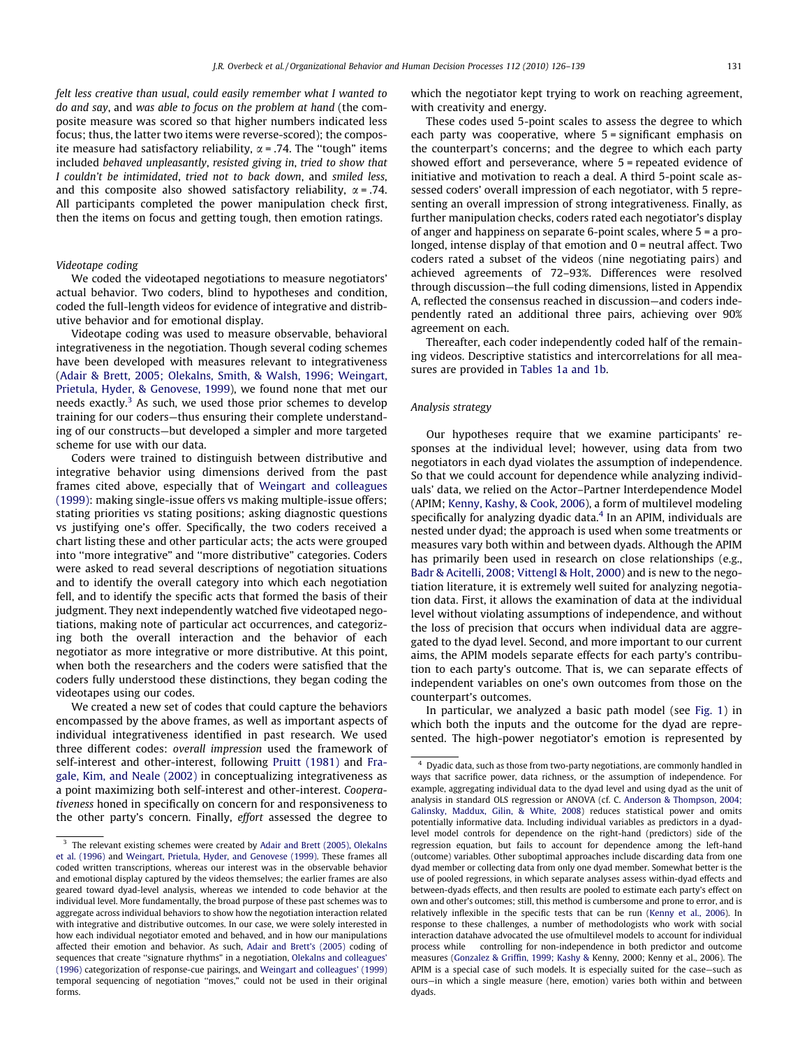felt less creative than usual, could easily remember what I wanted to do and say, and was able to focus on the problem at hand (the composite measure was scored so that higher numbers indicated less focus; thus, the latter two items were reverse-scored); the composite measure had satisfactory reliability,  $\alpha$  = .74. The "tough" items included behaved unpleasantly, resisted giving in, tried to show that I couldn't be intimidated, tried not to back down, and smiled less, and this composite also showed satisfactory reliability,  $\alpha$  = .74. All participants completed the power manipulation check first, then the items on focus and getting tough, then emotion ratings.

# Videotape coding

We coded the videotaped negotiations to measure negotiators' actual behavior. Two coders, blind to hypotheses and condition, coded the full-length videos for evidence of integrative and distributive behavior and for emotional display.

Videotape coding was used to measure observable, behavioral integrativeness in the negotiation. Though several coding schemes have been developed with measures relevant to integrativeness ([Adair & Brett, 2005; Olekalns, Smith, & Walsh, 1996; Weingart,](#page-12-0) [Prietula, Hyder, & Genovese, 1999](#page-12-0)), we found none that met our needs exactly.3 As such, we used those prior schemes to develop training for our coders—thus ensuring their complete understanding of our constructs—but developed a simpler and more targeted scheme for use with our data.

Coders were trained to distinguish between distributive and integrative behavior using dimensions derived from the past frames cited above, especially that of [Weingart and colleagues](#page-13-0) [\(1999\):](#page-13-0) making single-issue offers vs making multiple-issue offers; stating priorities vs stating positions; asking diagnostic questions vs justifying one's offer. Specifically, the two coders received a chart listing these and other particular acts; the acts were grouped into "more integrative" and "more distributive" categories. Coders were asked to read several descriptions of negotiation situations and to identify the overall category into which each negotiation fell, and to identify the specific acts that formed the basis of their judgment. They next independently watched five videotaped negotiations, making note of particular act occurrences, and categorizing both the overall interaction and the behavior of each negotiator as more integrative or more distributive. At this point, when both the researchers and the coders were satisfied that the coders fully understood these distinctions, they began coding the videotapes using our codes.

We created a new set of codes that could capture the behaviors encompassed by the above frames, as well as important aspects of individual integrativeness identified in past research. We used three different codes: overall impression used the framework of self-interest and other-interest, following [Pruitt \(1981\)](#page-13-0) and [Fra](#page-12-0)[gale, Kim, and Neale \(2002\)](#page-12-0) in conceptualizing integrativeness as a point maximizing both self-interest and other-interest. Cooperativeness honed in specifically on concern for and responsiveness to the other party's concern. Finally, effort assessed the degree to which the negotiator kept trying to work on reaching agreement, with creativity and energy.

These codes used 5-point scales to assess the degree to which each party was cooperative, where 5 = significant emphasis on the counterpart's concerns; and the degree to which each party showed effort and perseverance, where 5 = repeated evidence of initiative and motivation to reach a deal. A third 5-point scale assessed coders' overall impression of each negotiator, with 5 representing an overall impression of strong integrativeness. Finally, as further manipulation checks, coders rated each negotiator's display of anger and happiness on separate 6-point scales, where 5 = a prolonged, intense display of that emotion and 0 = neutral affect. Two coders rated a subset of the videos (nine negotiating pairs) and achieved agreements of 72–93%. Differences were resolved through discussion—the full coding dimensions, listed in Appendix A, reflected the consensus reached in discussion—and coders independently rated an additional three pairs, achieving over 90% agreement on each.

Thereafter, each coder independently coded half of the remaining videos. Descriptive statistics and intercorrelations for all measures are provided in [Tables 1a and 1b](#page-6-0).

# Analysis strategy

Our hypotheses require that we examine participants' responses at the individual level; however, using data from two negotiators in each dyad violates the assumption of independence. So that we could account for dependence while analyzing individuals' data, we relied on the Actor–Partner Interdependence Model (APIM; [Kenny, Kashy, & Cook, 2006\)](#page-13-0), a form of multilevel modeling specifically for analyzing dyadic data. $4$  In an APIM, individuals are nested under dyad; the approach is used when some treatments or measures vary both within and between dyads. Although the APIM has primarily been used in research on close relationships (e.g., [Badr & Acitelli, 2008; Vittengl & Holt, 2000\)](#page-12-0) and is new to the negotiation literature, it is extremely well suited for analyzing negotiation data. First, it allows the examination of data at the individual level without violating assumptions of independence, and without the loss of precision that occurs when individual data are aggregated to the dyad level. Second, and more important to our current aims, the APIM models separate effects for each party's contribution to each party's outcome. That is, we can separate effects of independent variables on one's own outcomes from those on the counterpart's outcomes.

In particular, we analyzed a basic path model (see [Fig. 1](#page-7-0)) in which both the inputs and the outcome for the dyad are represented. The high-power negotiator's emotion is represented by

 $3$  The relevant existing schemes were created by [Adair and Brett \(2005\), Olekalns](#page-12-0) [et al. \(1996\)](#page-12-0) and [Weingart, Prietula, Hyder, and Genovese \(1999\)](#page-13-0). These frames all coded written transcriptions, whereas our interest was in the observable behavior and emotional display captured by the videos themselves; the earlier frames are also geared toward dyad-level analysis, whereas we intended to code behavior at the individual level. More fundamentally, the broad purpose of these past schemes was to aggregate across individual behaviors to show how the negotiation interaction related with integrative and distributive outcomes. In our case, we were solely interested in how each individual negotiator emoted and behaved, and in how our manipulations affected their emotion and behavior. As such, [Adair and Brett's \(2005\)](#page-12-0) coding of sequences that create ''signature rhythms" in a negotiation, [Olekalns and colleagues'](#page-13-0) [\(1996\)](#page-13-0) categorization of response-cue pairings, and [Weingart and colleagues' \(1999\)](#page-13-0) temporal sequencing of negotiation ''moves," could not be used in their original forms.

<sup>4</sup> Dyadic data, such as those from two-party negotiations, are commonly handled in ways that sacrifice power, data richness, or the assumption of independence. For example, aggregating individual data to the dyad level and using dyad as the unit of analysis in standard OLS regression or ANOVA (cf. C. [Anderson & Thompson, 2004;](#page-12-0) [Galinsky, Maddux, Gilin, & White, 2008\)](#page-12-0) reduces statistical power and omits potentially informative data. Including individual variables as predictors in a dyadlevel model controls for dependence on the right-hand (predictors) side of the regression equation, but fails to account for dependence among the left-hand (outcome) variables. Other suboptimal approaches include discarding data from one dyad member or collecting data from only one dyad member. Somewhat better is the use of pooled regressions, in which separate analyses assess within-dyad effects and between-dyads effects, and then results are pooled to estimate each party's effect on own and other's outcomes; still, this method is cumbersome and prone to error, and is relatively inflexible in the specific tests that can be run [\(Kenny et al., 2006\)](#page-13-0). In response to these challenges, a number of methodologists who work with social interaction datahave advocated the use ofmultilevel models to account for individual process while controlling for non-independence in both predictor and outcome measures [\(Gonzalez & Griffin, 1999; Kashy &](#page-12-0) Kenny, 2000; Kenny et al., 2006). The APIM is a special case of such models. It is especially suited for the case—such as ours—in which a single measure (here, emotion) varies both within and between dyads.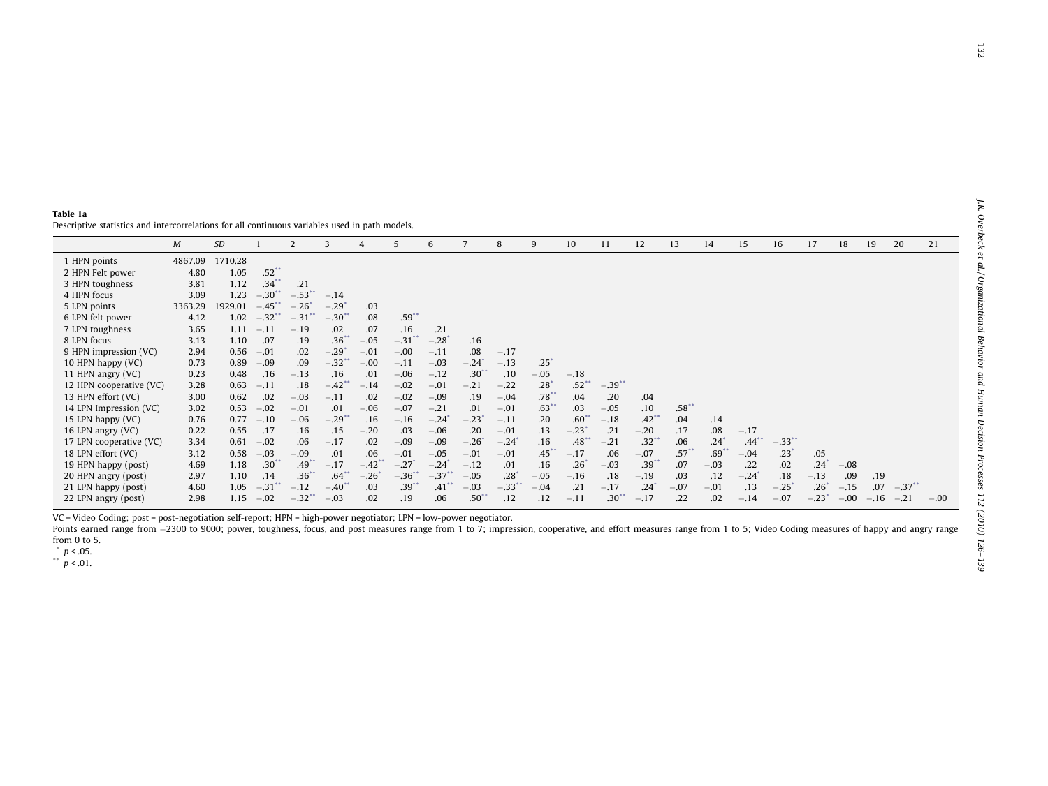<span id="page-6-0"></span>

| Table 1a                                                                                       |
|------------------------------------------------------------------------------------------------|
| Descriptive statistics and intercorrelations for all continuous variables used in path models. |

|             | bescriptive statistics and intercorrelations for an continuous variables used in path models. |         |           |                      |                     |                     |                    |                     |                      |                     |          |                 |                 |           |                  |          |          |         |                     |         |        |     |                      |        |
|-------------|-----------------------------------------------------------------------------------------------|---------|-----------|----------------------|---------------------|---------------------|--------------------|---------------------|----------------------|---------------------|----------|-----------------|-----------------|-----------|------------------|----------|----------|---------|---------------------|---------|--------|-----|----------------------|--------|
|             |                                                                                               | M       | <b>SD</b> |                      | 2                   | 3                   |                    | 5                   | 6                    |                     | 8        | 9               | 10              | 11        | 12               | 13       | 14       | 15      | 16                  | 17      | 18     | 19  | 20                   | 21     |
|             | 1 HPN points                                                                                  | 4867.09 | 1710.28   |                      |                     |                     |                    |                     |                      |                     |          |                 |                 |           |                  |          |          |         |                     |         |        |     |                      |        |
|             | 2 HPN Felt power                                                                              | 4.80    | 1.05      | $.52$ **             |                     |                     |                    |                     |                      |                     |          |                 |                 |           |                  |          |          |         |                     |         |        |     |                      |        |
|             | 3 HPN toughness                                                                               | 3.81    | 1.12      | $.34***$             | .21                 |                     |                    |                     |                      |                     |          |                 |                 |           |                  |          |          |         |                     |         |        |     |                      |        |
|             | 4 HPN focus                                                                                   | 3.09    | 1.23      | $-.30$ <sup>**</sup> | $-.53"$             | $-.14$              |                    |                     |                      |                     |          |                 |                 |           |                  |          |          |         |                     |         |        |     |                      |        |
|             | 5 LPN points                                                                                  | 3363.29 | 1929.01   | $-.45$ **            | $-.26*$             | $-.29'$             | .03                |                     |                      |                     |          |                 |                 |           |                  |          |          |         |                     |         |        |     |                      |        |
|             | 6 LPN felt power                                                                              | 4.12    | 1.02      | $-.32$ **            | $-.31$ <sup>*</sup> | $-.30'$             | .08                | $.59***$            |                      |                     |          |                 |                 |           |                  |          |          |         |                     |         |        |     |                      |        |
|             | 7 LPN toughness                                                                               | 3.65    | 1.11      | $-.11$               | $-.19$              | .02                 | .07                | .16                 | .21                  |                     |          |                 |                 |           |                  |          |          |         |                     |         |        |     |                      |        |
| 8 LPN focus |                                                                                               | 3.13    | 1.10      | .07                  | .19                 | $.36**$             | $-.05$             | $-.31$ <sup>*</sup> | $-.28$ <sup>*</sup>  | .16                 |          |                 |                 |           |                  |          |          |         |                     |         |        |     |                      |        |
|             | 9 HPN impression (VC)                                                                         | 2.94    | 0.56      | $-.01$               | .02                 | $-.29$ <sup>*</sup> | $-.01$             | $-.00$              | $-.11$               | .08                 | $-.17$   |                 |                 |           |                  |          |          |         |                     |         |        |     |                      |        |
|             | 10 HPN happy (VC)                                                                             | 0.73    | 0.89      | $-.09$               | .09                 | $-.32"$             | $-.00$             | $-.11$              | $-.03$               | $-.24"$             | $-.13$   | $.25*$          |                 |           |                  |          |          |         |                     |         |        |     |                      |        |
|             | 11 HPN angry (VC)                                                                             | 0.23    | 0.48      | .16                  | $-.13$              | .16                 | .01                | $-.06$              | $-.12$               | $.30^{*}$           | .10      | $-.05$          | $-.18$          |           |                  |          |          |         |                     |         |        |     |                      |        |
|             | 12 HPN cooperative (VC)                                                                       | 3.28    | 0.63      | $-.11$               | .18                 | $-.42$ **           | $-.14$             | $-.02$              | $-.01$               | $-.21$              | $-.22$   | $.28^{\degree}$ | $.52$ **        | $-.39$ ** |                  |          |          |         |                     |         |        |     |                      |        |
|             | 13 HPN effort (VC)                                                                            | 3.00    | 0.62      | .02                  | $-.03$              | $-.11$              | .02                | $-.02$              | $-.09$               | .19                 | $-.04$   | $.78***$        | .04             | .20       | .04              |          |          |         |                     |         |        |     |                      |        |
|             | 14 LPN Impression (VC)                                                                        | 3.02    | 0.53      | $-.02$               | $-.01$              | .01                 | $-.06$             | $-.07$              | $-.21$               | .01                 | $-.01$   | $.63$ **        | .03             | $-.05$    | .10              | $.58***$ |          |         |                     |         |        |     |                      |        |
|             | 15 LPN happy (VC)                                                                             | 0.76    | 0.77      | $-.10$               | $-.06$              | $-.29$ **           | .16                | $-.16$              | $-.24$ <sup>*</sup>  | $-.23$ <sup>*</sup> | $-.11$   | .20             | $.60^{\degree}$ | $-.18$    | $.42***$         | .04      | .14      |         |                     |         |        |     |                      |        |
|             | 16 LPN angry (VC)                                                                             | 0.22    | 0.55      | .17                  | .16                 | .15                 | $-.20$             | .03                 | $-.06$               | .20                 | $-.01$   | .13             | $-.23"$         | .21       | $-.20$           | .17      | .08      | $-.17$  |                     |         |        |     |                      |        |
|             | 17 LPN cooperative (VC)                                                                       | 3.34    | 0.61      | $-.02$               | .06                 | $-.17$              | .02                | $-.09$              | $-.09$               | $-.26*$             | $-.24"$  | .16             | $.48*$          | $-.21$    | $.32**$          | .06      | $.24*$   | .44     | $-33$ <sup>**</sup> |         |        |     |                      |        |
|             | 18 LPN effort (VC)                                                                            | 3.12    | 0.58      | $-.03$               | $-.09$              | .01                 | .06                | $-.01$              | $-.05$               | $-.01$              | $-.01$   | $.45***$        | $-.17$          | .06       | $-.07$           | $.57***$ | $.69***$ | $-.04$  | .23'                | .05     |        |     |                      |        |
|             | 19 HPN happy (post)                                                                           | 4.69    | 1.18      | .30 <sup>2</sup>     | $.49**$             | $-.17$              | $-.42"$            | $-.27*$             | $-.24"$              | $-.12$              | .01      | .16             | $.26^\circ$     | $-.03$    | $.39***$         | .07      | $-.03$   | .22     | .02                 | $.24*$  | $-.08$ |     |                      |        |
|             | 20 HPN angry (post)                                                                           | 2.97    | 1.10      | .14                  | $.36***$            | $.64**$             | $-26$ <sup>*</sup> | $-.36$ **           | $-.37$ <sup>**</sup> | $-.05$              | .28      | $-.05$          | $-.16$          | .18       | $-.19$           | .03      | .12      | $-.24"$ | .18                 | $-.13$  | .09    | .19 |                      |        |
|             | 21 LPN happy (post)                                                                           | 4.60    | 1.05      | $-.31$ <sup>*</sup>  | $-.12$              | $-.40'$             | .03                | $.39**$             | $.41$ **             | $-.03$              | $-.33**$ | $-.04$          | .21             | $-.17$    | .24 <sup>1</sup> | $-.07$   | $-.01$   | .13     | $-.25$ <sup>*</sup> | $.26*$  | $-.15$ | .07 | $-.37$ <sup>**</sup> |        |
|             | 22 LPN angry (post)                                                                           | 2.98    | 1.15      | $-.02$               | $-.32$ <sup>*</sup> | $-.03$              | .02                | .19                 | .06                  | $.50$ **            | .12      | .12             | $-.11$          | $.30**$   | $-.17$           | .22      | .02      | $-.14$  | $-.07$              | $-.23"$ | $-.00$ |     | $-.16 - .21$         | $-.00$ |
|             |                                                                                               |         |           |                      |                     |                     |                    |                     |                      |                     |          |                 |                 |           |                  |          |          |         |                     |         |        |     |                      |        |

VC <sup>=</sup> Video Coding; post <sup>=</sup> post-negotiation self-report; HPN <sup>=</sup> high-power negotiator; LPN <sup>=</sup> low-power negotiator.

Points earned range from -2300 to 9000; power, toughness, focus, and post measures range from 1 to 7; impression, cooperative, and effort measures range from 1 to 5; Video Coding measures of happy and angry range from 0 to 5.

 $\binom{p < 0.05}{p < 0.01}$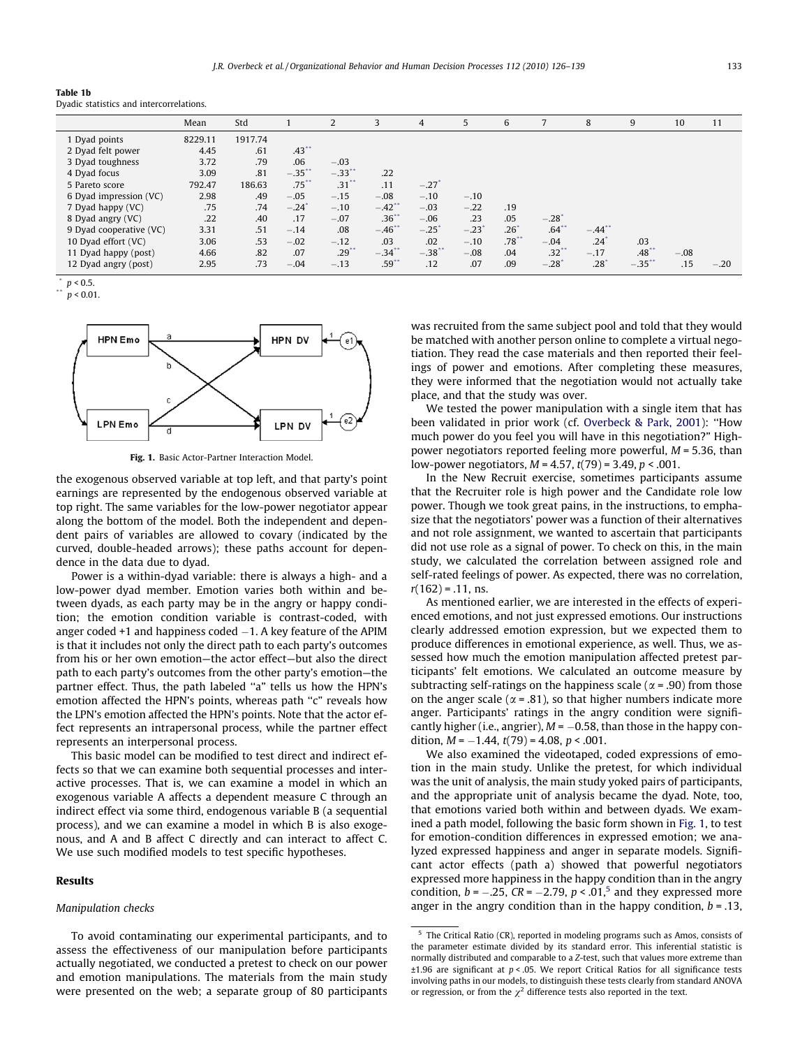<span id="page-7-0"></span>

| Table 1b |  |                                          |
|----------|--|------------------------------------------|
|          |  | Dyadic statistics and intercorrelations. |

|                         | Mean    | Std     |                     | $\overline{2}$ | 3                    | $\overline{4}$      | 5       | 6      |                     | 8                    | 9         | 10     | 11     |
|-------------------------|---------|---------|---------------------|----------------|----------------------|---------------------|---------|--------|---------------------|----------------------|-----------|--------|--------|
| 1 Dyad points           | 8229.11 | 1917.74 |                     |                |                      |                     |         |        |                     |                      |           |        |        |
| 2 Dyad felt power       | 4.45    | .61     | $.43**$             |                |                      |                     |         |        |                     |                      |           |        |        |
| 3 Dyad toughness        | 3.72    | .79     | .06                 | $-.03$         |                      |                     |         |        |                     |                      |           |        |        |
| 4 Dyad focus            | 3.09    | .81     | $-.35$ **           | $-.33$ **      | .22                  |                     |         |        |                     |                      |           |        |        |
| 5 Pareto score          | 792.47  | 186.63  | $.75**$             | $.31$ **       | .11                  | $-.27'$             |         |        |                     |                      |           |        |        |
| 6 Dyad impression (VC)  | 2.98    | .49     | $-.05$              | $-.15$         | $-.08$               | $-.10$              | $-.10$  |        |                     |                      |           |        |        |
| 7 Dyad happy (VC)       | .75     | .74     | $-.24$ <sup>*</sup> | $-.10$         | $-.42$ <sup>**</sup> | $-.03$              | $-.22$  | .19    |                     |                      |           |        |        |
| 8 Dyad angry (VC)       | .22     | .40     | .17                 | $-.07$         | $.36**$              | $-.06$              | .23     | .05    | $-.28$ <sup>*</sup> |                      |           |        |        |
| 9 Dyad cooperative (VC) | 3.31    | .51     | $-.14$              | .08            | $-.46$ <sup>**</sup> | $-.25$ <sup>*</sup> | $-.23"$ | $.26*$ | $.64**$             | $-.44$ <sup>**</sup> |           |        |        |
| 10 Dyad effort (VC)     | 3.06    | .53     | $-.02$              | $-.12$         | .03                  | .02                 | $-.10$  | .78    | $-.04$              | $.24$ <sup>*</sup>   | .03       |        |        |
| 11 Dyad happy (post)    | 4.66    | .82     | .07                 | $.29***$       | $-.34$ <sup>**</sup> | $-.38$              | $-.08$  | .04    | $.32$ <sup>**</sup> | $-.17$               | $.48***$  | $-.08$ |        |
| 12 Dyad angry (post)    | 2.95    | .73     | $-.04$              | $-.13$         | $.59**$              | .12                 | .07     | .09    | $-.28$              | $.28^\circ$          | $-.35$ ** | .15    | $-.20$ |

 $p < 0.5$ .

 $p < 0.01$ .



Fig. 1. Basic Actor-Partner Interaction Model.

the exogenous observed variable at top left, and that party's point earnings are represented by the endogenous observed variable at top right. The same variables for the low-power negotiator appear along the bottom of the model. Both the independent and dependent pairs of variables are allowed to covary (indicated by the curved, double-headed arrows); these paths account for dependence in the data due to dyad.

Power is a within-dyad variable: there is always a high- and a low-power dyad member. Emotion varies both within and between dyads, as each party may be in the angry or happy condition; the emotion condition variable is contrast-coded, with anger coded  $+1$  and happiness coded  $-1$ . A key feature of the APIM is that it includes not only the direct path to each party's outcomes from his or her own emotion—the actor effect—but also the direct path to each party's outcomes from the other party's emotion—the partner effect. Thus, the path labeled ''a" tells us how the HPN's emotion affected the HPN's points, whereas path ''c" reveals how the LPN's emotion affected the HPN's points. Note that the actor effect represents an intrapersonal process, while the partner effect represents an interpersonal process.

This basic model can be modified to test direct and indirect effects so that we can examine both sequential processes and interactive processes. That is, we can examine a model in which an exogenous variable A affects a dependent measure C through an indirect effect via some third, endogenous variable B (a sequential process), and we can examine a model in which B is also exogenous, and A and B affect C directly and can interact to affect C. We use such modified models to test specific hypotheses.

# Results

## Manipulation checks

To avoid contaminating our experimental participants, and to assess the effectiveness of our manipulation before participants actually negotiated, we conducted a pretest to check on our power and emotion manipulations. The materials from the main study were presented on the web; a separate group of 80 participants was recruited from the same subject pool and told that they would be matched with another person online to complete a virtual negotiation. They read the case materials and then reported their feelings of power and emotions. After completing these measures, they were informed that the negotiation would not actually take place, and that the study was over.

We tested the power manipulation with a single item that has been validated in prior work (cf. [Overbeck & Park, 2001\)](#page-13-0): ''How much power do you feel you will have in this negotiation?" Highpower negotiators reported feeling more powerful,  $M = 5.36$ , than low-power negotiators,  $M = 4.57$ ,  $t(79) = 3.49$ ,  $p < .001$ .

In the New Recruit exercise, sometimes participants assume that the Recruiter role is high power and the Candidate role low power. Though we took great pains, in the instructions, to emphasize that the negotiators' power was a function of their alternatives and not role assignment, we wanted to ascertain that participants did not use role as a signal of power. To check on this, in the main study, we calculated the correlation between assigned role and self-rated feelings of power. As expected, there was no correlation,  $r(162) = .11$ , ns.

As mentioned earlier, we are interested in the effects of experienced emotions, and not just expressed emotions. Our instructions clearly addressed emotion expression, but we expected them to produce differences in emotional experience, as well. Thus, we assessed how much the emotion manipulation affected pretest participants' felt emotions. We calculated an outcome measure by subtracting self-ratings on the happiness scale ( $\alpha$  = .90) from those on the anger scale ( $\alpha$  = .81), so that higher numbers indicate more anger. Participants' ratings in the angry condition were significantly higher (i.e., angrier),  $M = -0.58$ , than those in the happy condition,  $M = -1.44$ ,  $t(79) = 4.08$ ,  $p < .001$ .

We also examined the videotaped, coded expressions of emotion in the main study. Unlike the pretest, for which individual was the unit of analysis, the main study yoked pairs of participants, and the appropriate unit of analysis became the dyad. Note, too, that emotions varied both within and between dyads. We examined a path model, following the basic form shown in Fig. 1, to test for emotion-condition differences in expressed emotion; we analyzed expressed happiness and anger in separate models. Significant actor effects (path a) showed that powerful negotiators expressed more happiness in the happy condition than in the angry condition,  $b = -.25$ ,  $CR = -2.79$ ,  $p < .01$ ,<sup>5</sup> and they expressed more anger in the angry condition than in the happy condition,  $b = .13$ ,

 $5$  The Critical Ratio (CR), reported in modeling programs such as Amos, consists of the parameter estimate divided by its standard error. This inferential statistic is normally distributed and comparable to a Z-test, such that values more extreme than  $±1.96$  are significant at  $p < .05$ . We report Critical Ratios for all significance tests involving paths in our models, to distinguish these tests clearly from standard ANOVA or regression, or from the  $\chi^2$  difference tests also reported in the text.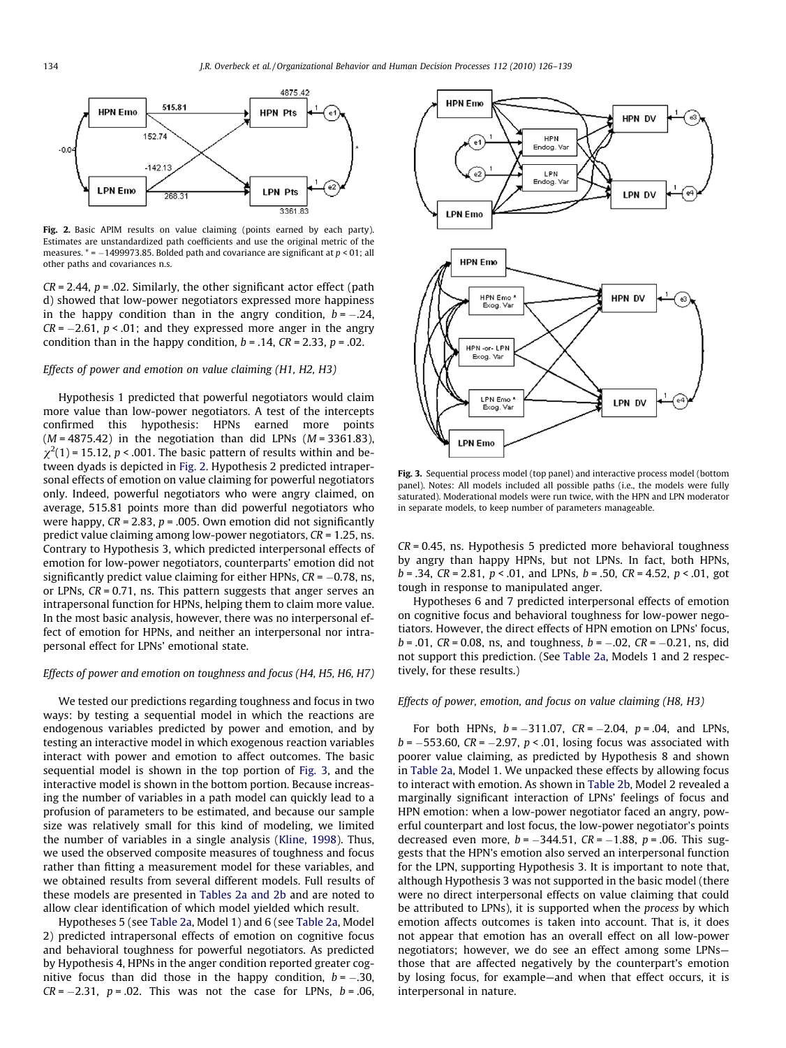

Fig. 2. Basic APIM results on value claiming (points earned by each party). Estimates are unstandardized path coefficients and use the original metric of the measures.  $* = -1499973.85$ . Bolded path and covariance are significant at  $p < 01$ ; all other paths and covariances n.s.

 $CR = 2.44$ ,  $p = .02$ . Similarly, the other significant actor effect (path d) showed that low-power negotiators expressed more happiness in the happy condition than in the angry condition,  $b = -0.24$ ,  $CR = -2.61$ ,  $p < .01$ ; and they expressed more anger in the angry condition than in the happy condition,  $b = .14$ ,  $CR = 2.33$ ,  $p = .02$ .

# Effects of power and emotion on value claiming (H1, H2, H3)

Hypothesis 1 predicted that powerful negotiators would claim more value than low-power negotiators. A test of the intercepts confirmed this hypothesis: HPNs earned more points  $(M = 4875.42)$  in the negotiation than did LPNs  $(M = 3361.83)$ ,  $\chi^2(1)$  = 15.12, p < .001. The basic pattern of results within and between dyads is depicted in Fig. 2. Hypothesis 2 predicted intrapersonal effects of emotion on value claiming for powerful negotiators only. Indeed, powerful negotiators who were angry claimed, on average, 515.81 points more than did powerful negotiators who were happy,  $CR = 2.83$ ,  $p = .005$ . Own emotion did not significantly predict value claiming among low-power negotiators, CR = 1.25, ns. Contrary to Hypothesis 3, which predicted interpersonal effects of emotion for low-power negotiators, counterparts' emotion did not significantly predict value claiming for either HPNs,  $CR = -0.78$ , ns, or LPNs,  $CR = 0.71$ , ns. This pattern suggests that anger serves an intrapersonal function for HPNs, helping them to claim more value. In the most basic analysis, however, there was no interpersonal effect of emotion for HPNs, and neither an interpersonal nor intrapersonal effect for LPNs' emotional state.

# Effects of power and emotion on toughness and focus (H4, H5, H6, H7)

We tested our predictions regarding toughness and focus in two ways: by testing a sequential model in which the reactions are endogenous variables predicted by power and emotion, and by testing an interactive model in which exogenous reaction variables interact with power and emotion to affect outcomes. The basic sequential model is shown in the top portion of Fig. 3, and the interactive model is shown in the bottom portion. Because increasing the number of variables in a path model can quickly lead to a profusion of parameters to be estimated, and because our sample size was relatively small for this kind of modeling, we limited the number of variables in a single analysis [\(Kline, 1998](#page-13-0)). Thus, we used the observed composite measures of toughness and focus rather than fitting a measurement model for these variables, and we obtained results from several different models. Full results of these models are presented in [Tables 2a and 2b](#page-9-0) and are noted to allow clear identification of which model yielded which result.

Hypotheses 5 (see [Table 2a](#page-9-0), Model 1) and 6 (see [Table 2a](#page-9-0), Model 2) predicted intrapersonal effects of emotion on cognitive focus and behavioral toughness for powerful negotiators. As predicted by Hypothesis 4, HPNs in the anger condition reported greater cognitive focus than did those in the happy condition,  $b = -.30$ ,  $CR = -2.31$ ,  $p = .02$ . This was not the case for LPNs,  $b = .06$ ,



Fig. 3. Sequential process model (top panel) and interactive process model (bottom panel). Notes: All models included all possible paths (i.e., the models were fully saturated). Moderational models were run twice, with the HPN and LPN moderator in separate models, to keep number of parameters manageable.

 $CR = 0.45$ , ns. Hypothesis 5 predicted more behavioral toughness by angry than happy HPNs, but not LPNs. In fact, both HPNs,  $b = .34$ ,  $CR = 2.81$ ,  $p < .01$ , and LPNs,  $b = .50$ ,  $CR = 4.52$ ,  $p < .01$ , got tough in response to manipulated anger.

Hypotheses 6 and 7 predicted interpersonal effects of emotion on cognitive focus and behavioral toughness for low-power negotiators. However, the direct effects of HPN emotion on LPNs' focus,  $b = .01$ ,  $CR = 0.08$ , ns, and toughness,  $b = -.02$ ,  $CR = -0.21$ , ns, did not support this prediction. (See [Table 2a](#page-9-0), Models 1 and 2 respectively, for these results.)

## Effects of power, emotion, and focus on value claiming (H8, H3)

For both HPNs,  $b = -311.07$ ,  $CR = -2.04$ ,  $p = .04$ , and LPNs,  $b = -553.60$ , CR =  $-2.97$ ,  $p < .01$ , losing focus was associated with poorer value claiming, as predicted by Hypothesis 8 and shown in [Table 2a](#page-9-0), Model 1. We unpacked these effects by allowing focus to interact with emotion. As shown in [Table 2b,](#page-9-0) Model 2 revealed a marginally significant interaction of LPNs' feelings of focus and HPN emotion: when a low-power negotiator faced an angry, powerful counterpart and lost focus, the low-power negotiator's points decreased even more,  $b = -344.51$ ,  $CR = -1.88$ ,  $p = .06$ . This suggests that the HPN's emotion also served an interpersonal function for the LPN, supporting Hypothesis 3. It is important to note that, although Hypothesis 3 was not supported in the basic model (there were no direct interpersonal effects on value claiming that could be attributed to LPNs), it is supported when the process by which emotion affects outcomes is taken into account. That is, it does not appear that emotion has an overall effect on all low-power negotiators; however, we do see an effect among some LPNs those that are affected negatively by the counterpart's emotion by losing focus, for example—and when that effect occurs, it is interpersonal in nature.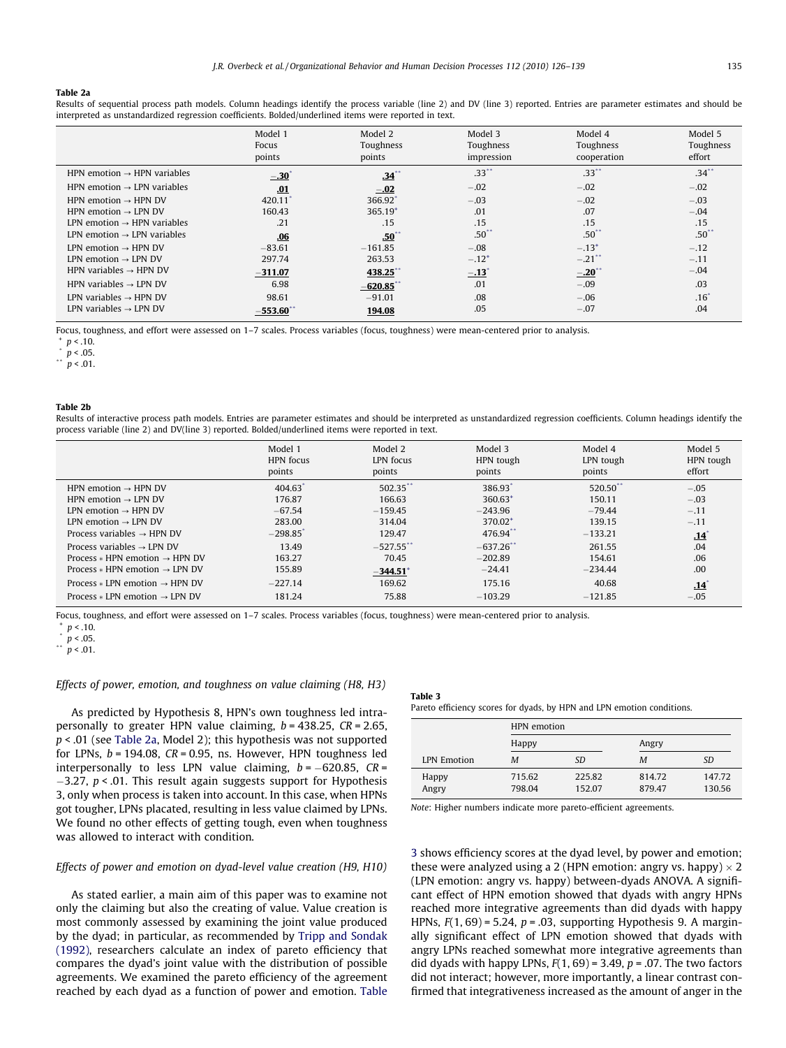#### <span id="page-9-0"></span>Table 2a

Results of sequential process path models. Column headings identify the process variable (line 2) and DV (line 3) reported. Entries are parameter estimates and should be interpreted as unstandardized regression coefficients. Bolded/underlined items were reported in text.

|                                         | Model 1<br>Focus<br>points | Model 2<br>Toughness<br>points | Model 3<br>Toughness<br>impression | Model 4<br>Toughness<br>cooperation | Model 5<br>Toughness<br>effort |
|-----------------------------------------|----------------------------|--------------------------------|------------------------------------|-------------------------------------|--------------------------------|
| HPN emotion $\rightarrow$ HPN variables | $-.30^{\degree}$           | $.34$ **                       | $.33***$                           | .33                                 | $.34***$                       |
| HPN emotion $\rightarrow$ LPN variables | .01                        | $= 0.02$                       | $-.02$                             | $-.02$                              | $-.02$                         |
| HPN emotion $\rightarrow$ HPN DV        | 420.11                     | 366.92                         | $-.03$                             | $-.02$                              | $-.03$                         |
| HPN emotion $\rightarrow$ LPN DV        | 160.43                     | $365.19$ <sup>+</sup>          | .01                                | .07                                 | $-.04$                         |
| LPN emotion $\rightarrow$ HPN variables | .21                        | .15                            | .15                                | .15                                 | .15                            |
| LPN emotion $\rightarrow$ LPN variables | .06                        | .50                            | $.50^*$                            | $.50*$                              | .50 <sup>°</sup>               |
| LPN emotion $\rightarrow$ HPN DV        | $-83.61$                   | $-161.85$                      | $-.08$                             | $-.13$ <sup>+</sup>                 | $-.12$                         |
| LPN emotion $\rightarrow$ LPN DV        | 297.74                     | 263.53                         | $-.12$ <sup>+</sup>                | $-.21$ <sup>**</sup>                | $-.11$                         |
| HPN variables $\rightarrow$ HPN DV      | $-311.07$                  | 438.25 <sup>*</sup>            | $-.13$                             | $-.20^{\degree}$                    | $-.04$                         |
| HPN variables $\rightarrow$ LPN DV      | 6.98                       | $-620.85$ <sup>*</sup>         | .01                                | $-.09$                              | .03                            |
| LPN variables $\rightarrow$ HPN DV      | 98.61                      | $-91.01$                       | .08                                | $-.06$                              | .16                            |
| LPN variables $\rightarrow$ LPN DV      | $-553.60$                  | 194.08                         | .05                                | $-.07$                              | .04                            |

Focus, toughness, and effort were assessed on 1–7 scales. Process variables (focus, toughness) were mean-centered prior to analysis.

 $+ p < .10.$ 

 $p < .05$ .

 $p < .01$ .

#### Table 2b

Results of interactive process path models. Entries are parameter estimates and should be interpreted as unstandardized regression coefficients. Column headings identify the process variable (line 2) and DV(line 3) reported. Bolded/underlined items were reported in text.

|                                              | Model 1                | Model 2                | Model 3               | Model 4   | Model 5         |
|----------------------------------------------|------------------------|------------------------|-----------------------|-----------|-----------------|
|                                              | <b>HPN</b> focus       | LPN focus              | HPN tough             | LPN tough | HPN tough       |
|                                              | points                 | points                 | points                | points    | effort          |
| HPN emotion $\rightarrow$ HPN DV             | 404.63                 | $502.35$ **            | 386.93                | 520.50    | $-.05$          |
| HPN emotion $\rightarrow$ LPN DV             | 176.87                 | 166.63                 | $360.63$ <sup>+</sup> | 150.11    | $-.03$          |
| LPN emotion $\rightarrow$ HPN DV             | $-67.54$               | $-159.45$              | $-243.96$             | $-79.44$  | $-.11$          |
| LPN emotion $\rightarrow$ LPN DV             | 283.00                 | 314.04                 | $370.02$ <sup>+</sup> | 139.15    | $-.11$          |
| Process variables $\rightarrow$ HPN DV       | $-298.85$ <sup>*</sup> | 129.47                 | 476.94**              | $-133.21$ | .14             |
| Process variables $\rightarrow$ LPN DV       | 13.49                  | $-527.55$ **           | $-637.26$             | 261.55    | .04             |
| Process $*$ HPN emotion $\rightarrow$ HPN DV | 163.27                 | 70.45                  | $-202.89$             | 154.61    | .06             |
| Process $*$ HPN emotion $\rightarrow$ LPN DV | 155.89                 | $-344.51$ <sup>+</sup> | $-24.41$              | $-234.44$ | .00             |
| Process $*$ LPN emotion $\rightarrow$ HPN DV | $-227.14$              | 169.62                 | 175.16                | 40.68     | $\overline{14}$ |
| Process $*$ LPN emotion $\rightarrow$ LPN DV | 181.24                 | 75.88                  | $-103.29$             | $-121.85$ | $-.05$          |

 $\overline{a}$  3.  $\overline{a}$ 

Focus, toughness, and effort were assessed on 1–7 scales. Process variables (focus, toughness) were mean-centered prior to analysis.

 $p < .01$ .

## Effects of power, emotion, and toughness on value claiming (H8, H3)

As predicted by Hypothesis 8, HPN's own toughness led intrapersonally to greater HPN value claiming,  $b = 438.25$ ,  $CR = 2.65$ ,  $p < .01$  (see Table 2a, Model 2); this hypothesis was not supported for LPNs,  $b = 194.08$ ,  $CR = 0.95$ , ns. However, HPN toughness led interpersonally to less LPN value claiming,  $b = -620.85$ ,  $CR =$  $-3.27$ ,  $p < 0.01$ . This result again suggests support for Hypothesis 3, only when process is taken into account. In this case, when HPNs got tougher, LPNs placated, resulting in less value claimed by LPNs. We found no other effects of getting tough, even when toughness was allowed to interact with condition.

#### Effects of power and emotion on dyad-level value creation (H9, H10)

As stated earlier, a main aim of this paper was to examine not only the claiming but also the creating of value. Value creation is most commonly assessed by examining the joint value produced by the dyad; in particular, as recommended by [Tripp and Sondak](#page-13-0) [\(1992\),](#page-13-0) researchers calculate an index of pareto efficiency that compares the dyad's joint value with the distribution of possible agreements. We examined the pareto efficiency of the agreement reached by each dyad as a function of power and emotion. Table

| rabie 3                                                                |  |  |  |
|------------------------------------------------------------------------|--|--|--|
| Pareto efficiency scores for dyads, by HPN and LPN emotion conditions. |  |  |  |

|                    |                  | <b>HPN</b> emotion |                  |                  |  |  |  |  |  |  |  |
|--------------------|------------------|--------------------|------------------|------------------|--|--|--|--|--|--|--|
|                    | Happy            |                    | Angry            |                  |  |  |  |  |  |  |  |
| <b>LPN</b> Emotion | M                | SD                 | M                | SD               |  |  |  |  |  |  |  |
| Happy<br>Angry     | 715.62<br>798.04 | 225.82<br>152.07   | 814.72<br>879.47 | 147.72<br>130.56 |  |  |  |  |  |  |  |

Note: Higher numbers indicate more pareto-efficient agreements.

3 shows efficiency scores at the dyad level, by power and emotion; these were analyzed using a 2 (HPN emotion: angry vs. happy)  $\times$  2 (LPN emotion: angry vs. happy) between-dyads ANOVA. A significant effect of HPN emotion showed that dyads with angry HPNs reached more integrative agreements than did dyads with happy HPNs,  $F(1, 69) = 5.24$ ,  $p = .03$ , supporting Hypothesis 9. A marginally significant effect of LPN emotion showed that dyads with angry LPNs reached somewhat more integrative agreements than did dyads with happy LPNs,  $F(1, 69) = 3.49$ ,  $p = .07$ . The two factors did not interact; however, more importantly, a linear contrast confirmed that integrativeness increased as the amount of anger in the

 $p < .10.$ 

 $p < .05$ .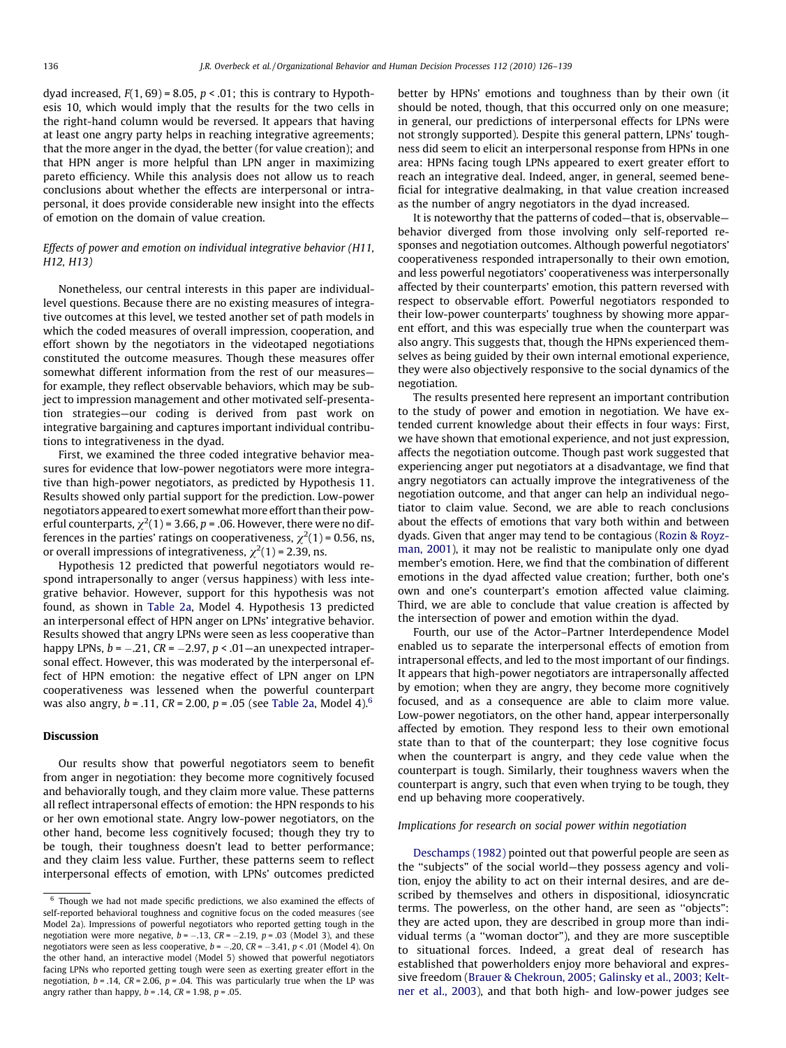dyad increased,  $F(1, 69) = 8.05$ ,  $p < .01$ ; this is contrary to Hypothesis 10, which would imply that the results for the two cells in the right-hand column would be reversed. It appears that having at least one angry party helps in reaching integrative agreements; that the more anger in the dyad, the better (for value creation); and that HPN anger is more helpful than LPN anger in maximizing pareto efficiency. While this analysis does not allow us to reach conclusions about whether the effects are interpersonal or intrapersonal, it does provide considerable new insight into the effects of emotion on the domain of value creation.

# Effects of power and emotion on individual integrative behavior (H11, H12, H13)

Nonetheless, our central interests in this paper are individuallevel questions. Because there are no existing measures of integrative outcomes at this level, we tested another set of path models in which the coded measures of overall impression, cooperation, and effort shown by the negotiators in the videotaped negotiations constituted the outcome measures. Though these measures offer somewhat different information from the rest of our measures for example, they reflect observable behaviors, which may be subject to impression management and other motivated self-presentation strategies—our coding is derived from past work on integrative bargaining and captures important individual contributions to integrativeness in the dyad.

First, we examined the three coded integrative behavior measures for evidence that low-power negotiators were more integrative than high-power negotiators, as predicted by Hypothesis 11. Results showed only partial support for the prediction. Low-power negotiators appeared to exert somewhat more effort than their powerful counterparts,  $\chi^2(1)$  = 3.66, p = .06. However, there were no differences in the parties' ratings on cooperativeness,  $\chi^2(1)$  = 0.56, ns, or overall impressions of integrativeness,  $\chi^2(1)$  = 2.39, ns.

Hypothesis 12 predicted that powerful negotiators would respond intrapersonally to anger (versus happiness) with less integrative behavior. However, support for this hypothesis was not found, as shown in [Table 2a](#page-9-0), Model 4. Hypothesis 13 predicted an interpersonal effect of HPN anger on LPNs' integrative behavior. Results showed that angry LPNs were seen as less cooperative than happy LPNs,  $b = -.21$ ,  $CR = -2.97$ ,  $p < .01$  -an unexpected intrapersonal effect. However, this was moderated by the interpersonal effect of HPN emotion: the negative effect of LPN anger on LPN cooperativeness was lessened when the powerful counterpart was also angry,  $b = .11$ ,  $CR = 2.00$ ,  $p = .05$  (see [Table 2a](#page-9-0), Model 4).<sup>6</sup>

## Discussion

Our results show that powerful negotiators seem to benefit from anger in negotiation: they become more cognitively focused and behaviorally tough, and they claim more value. These patterns all reflect intrapersonal effects of emotion: the HPN responds to his or her own emotional state. Angry low-power negotiators, on the other hand, become less cognitively focused; though they try to be tough, their toughness doesn't lead to better performance; and they claim less value. Further, these patterns seem to reflect interpersonal effects of emotion, with LPNs' outcomes predicted better by HPNs' emotions and toughness than by their own (it should be noted, though, that this occurred only on one measure; in general, our predictions of interpersonal effects for LPNs were not strongly supported). Despite this general pattern, LPNs' toughness did seem to elicit an interpersonal response from HPNs in one area: HPNs facing tough LPNs appeared to exert greater effort to reach an integrative deal. Indeed, anger, in general, seemed beneficial for integrative dealmaking, in that value creation increased as the number of angry negotiators in the dyad increased.

It is noteworthy that the patterns of coded—that is, observable behavior diverged from those involving only self-reported responses and negotiation outcomes. Although powerful negotiators' cooperativeness responded intrapersonally to their own emotion, and less powerful negotiators' cooperativeness was interpersonally affected by their counterparts' emotion, this pattern reversed with respect to observable effort. Powerful negotiators responded to their low-power counterparts' toughness by showing more apparent effort, and this was especially true when the counterpart was also angry. This suggests that, though the HPNs experienced themselves as being guided by their own internal emotional experience, they were also objectively responsive to the social dynamics of the negotiation.

The results presented here represent an important contribution to the study of power and emotion in negotiation. We have extended current knowledge about their effects in four ways: First, we have shown that emotional experience, and not just expression, affects the negotiation outcome. Though past work suggested that experiencing anger put negotiators at a disadvantage, we find that angry negotiators can actually improve the integrativeness of the negotiation outcome, and that anger can help an individual negotiator to claim value. Second, we are able to reach conclusions about the effects of emotions that vary both within and between dyads. Given that anger may tend to be contagious ([Rozin & Royz](#page-13-0)[man, 2001](#page-13-0)), it may not be realistic to manipulate only one dyad member's emotion. Here, we find that the combination of different emotions in the dyad affected value creation; further, both one's own and one's counterpart's emotion affected value claiming. Third, we are able to conclude that value creation is affected by the intersection of power and emotion within the dyad.

Fourth, our use of the Actor–Partner Interdependence Model enabled us to separate the interpersonal effects of emotion from intrapersonal effects, and led to the most important of our findings. It appears that high-power negotiators are intrapersonally affected by emotion; when they are angry, they become more cognitively focused, and as a consequence are able to claim more value. Low-power negotiators, on the other hand, appear interpersonally affected by emotion. They respond less to their own emotional state than to that of the counterpart; they lose cognitive focus when the counterpart is angry, and they cede value when the counterpart is tough. Similarly, their toughness wavers when the counterpart is angry, such that even when trying to be tough, they end up behaving more cooperatively.

## Implications for research on social power within negotiation

[Deschamps \(1982\)](#page-12-0) pointed out that powerful people are seen as the ''subjects" of the social world—they possess agency and volition, enjoy the ability to act on their internal desires, and are described by themselves and others in dispositional, idiosyncratic terms. The powerless, on the other hand, are seen as ''objects": they are acted upon, they are described in group more than individual terms (a ''woman doctor"), and they are more susceptible to situational forces. Indeed, a great deal of research has established that powerholders enjoy more behavioral and expressive freedom [\(Brauer & Chekroun, 2005; Galinsky et al., 2003; Kelt](#page-12-0)[ner et al., 2003](#page-12-0)), and that both high- and low-power judges see

<sup>6</sup> Though we had not made specific predictions, we also examined the effects of self-reported behavioral toughness and cognitive focus on the coded measures (see Model 2a). Impressions of powerful negotiators who reported getting tough in the negotiation were more negative,  $b = -.13$ ,  $CR = -2.19$ ,  $p = .03$  (Model 3), and these negotiators were seen as less cooperative,  $b = -.20$ ,  $CR = -3.41$ ,  $p < .01$  (Model 4). On the other hand, an interactive model (Model 5) showed that powerful negotiators facing LPNs who reported getting tough were seen as exerting greater effort in the negotiation,  $b = .14$ ,  $CR = 2.06$ ,  $p = .04$ . This was particularly true when the LP was angry rather than happy,  $b = .14$ ,  $CR = 1.98$ ,  $p = .05$ .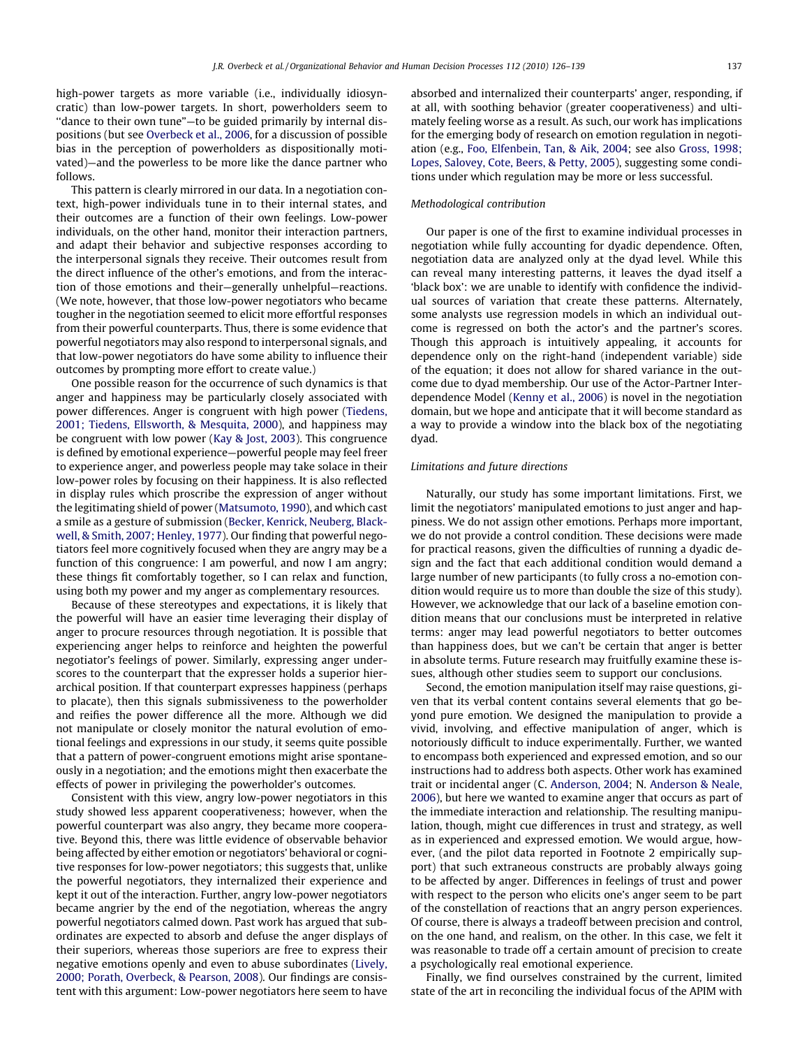high-power targets as more variable (i.e., individually idiosyncratic) than low-power targets. In short, powerholders seem to ''dance to their own tune"—to be guided primarily by internal dispositions (but see [Overbeck et al., 2006](#page-13-0), for a discussion of possible bias in the perception of powerholders as dispositionally motivated)—and the powerless to be more like the dance partner who follows.

This pattern is clearly mirrored in our data. In a negotiation context, high-power individuals tune in to their internal states, and their outcomes are a function of their own feelings. Low-power individuals, on the other hand, monitor their interaction partners, and adapt their behavior and subjective responses according to the interpersonal signals they receive. Their outcomes result from the direct influence of the other's emotions, and from the interaction of those emotions and their—generally unhelpful—reactions. (We note, however, that those low-power negotiators who became tougher in the negotiation seemed to elicit more effortful responses from their powerful counterparts. Thus, there is some evidence that powerful negotiators may also respond to interpersonal signals, and that low-power negotiators do have some ability to influence their outcomes by prompting more effort to create value.)

One possible reason for the occurrence of such dynamics is that anger and happiness may be particularly closely associated with power differences. Anger is congruent with high power ([Tiedens,](#page-13-0) [2001; Tiedens, Ellsworth, & Mesquita, 2000\)](#page-13-0), and happiness may be congruent with low power ([Kay & Jost, 2003](#page-13-0)). This congruence is defined by emotional experience—powerful people may feel freer to experience anger, and powerless people may take solace in their low-power roles by focusing on their happiness. It is also reflected in display rules which proscribe the expression of anger without the legitimating shield of power ([Matsumoto, 1990\)](#page-13-0), and which cast a smile as a gesture of submission [\(Becker, Kenrick, Neuberg, Black](#page-12-0)[well, & Smith, 2007; Henley, 1977](#page-12-0)). Our finding that powerful negotiators feel more cognitively focused when they are angry may be a function of this congruence: I am powerful, and now I am angry; these things fit comfortably together, so I can relax and function, using both my power and my anger as complementary resources.

Because of these stereotypes and expectations, it is likely that the powerful will have an easier time leveraging their display of anger to procure resources through negotiation. It is possible that experiencing anger helps to reinforce and heighten the powerful negotiator's feelings of power. Similarly, expressing anger underscores to the counterpart that the expresser holds a superior hierarchical position. If that counterpart expresses happiness (perhaps to placate), then this signals submissiveness to the powerholder and reifies the power difference all the more. Although we did not manipulate or closely monitor the natural evolution of emotional feelings and expressions in our study, it seems quite possible that a pattern of power-congruent emotions might arise spontaneously in a negotiation; and the emotions might then exacerbate the effects of power in privileging the powerholder's outcomes.

Consistent with this view, angry low-power negotiators in this study showed less apparent cooperativeness; however, when the powerful counterpart was also angry, they became more cooperative. Beyond this, there was little evidence of observable behavior being affected by either emotion or negotiators' behavioral or cognitive responses for low-power negotiators; this suggests that, unlike the powerful negotiators, they internalized their experience and kept it out of the interaction. Further, angry low-power negotiators became angrier by the end of the negotiation, whereas the angry powerful negotiators calmed down. Past work has argued that subordinates are expected to absorb and defuse the anger displays of their superiors, whereas those superiors are free to express their negative emotions openly and even to abuse subordinates [\(Lively,](#page-13-0) [2000; Porath, Overbeck, & Pearson, 2008](#page-13-0)). Our findings are consistent with this argument: Low-power negotiators here seem to have

absorbed and internalized their counterparts' anger, responding, if at all, with soothing behavior (greater cooperativeness) and ultimately feeling worse as a result. As such, our work has implications for the emerging body of research on emotion regulation in negotiation (e.g., [Foo, Elfenbein, Tan, & Aik, 2004;](#page-12-0) see also [Gross, 1998;](#page-12-0) [Lopes, Salovey, Cote, Beers, & Petty, 2005](#page-12-0)), suggesting some conditions under which regulation may be more or less successful.

#### Methodological contribution

Our paper is one of the first to examine individual processes in negotiation while fully accounting for dyadic dependence. Often, negotiation data are analyzed only at the dyad level. While this can reveal many interesting patterns, it leaves the dyad itself a 'black box': we are unable to identify with confidence the individual sources of variation that create these patterns. Alternately, some analysts use regression models in which an individual outcome is regressed on both the actor's and the partner's scores. Though this approach is intuitively appealing, it accounts for dependence only on the right-hand (independent variable) side of the equation; it does not allow for shared variance in the outcome due to dyad membership. Our use of the Actor-Partner Interdependence Model ([Kenny et al., 2006](#page-13-0)) is novel in the negotiation domain, but we hope and anticipate that it will become standard as a way to provide a window into the black box of the negotiating dyad.

## Limitations and future directions

Naturally, our study has some important limitations. First, we limit the negotiators' manipulated emotions to just anger and happiness. We do not assign other emotions. Perhaps more important, we do not provide a control condition. These decisions were made for practical reasons, given the difficulties of running a dyadic design and the fact that each additional condition would demand a large number of new participants (to fully cross a no-emotion condition would require us to more than double the size of this study). However, we acknowledge that our lack of a baseline emotion condition means that our conclusions must be interpreted in relative terms: anger may lead powerful negotiators to better outcomes than happiness does, but we can't be certain that anger is better in absolute terms. Future research may fruitfully examine these issues, although other studies seem to support our conclusions.

Second, the emotion manipulation itself may raise questions, given that its verbal content contains several elements that go beyond pure emotion. We designed the manipulation to provide a vivid, involving, and effective manipulation of anger, which is notoriously difficult to induce experimentally. Further, we wanted to encompass both experienced and expressed emotion, and so our instructions had to address both aspects. Other work has examined trait or incidental anger (C. [Anderson, 2004;](#page-12-0) N. [Anderson & Neale,](#page-12-0) [2006](#page-12-0)), but here we wanted to examine anger that occurs as part of the immediate interaction and relationship. The resulting manipulation, though, might cue differences in trust and strategy, as well as in experienced and expressed emotion. We would argue, however, (and the pilot data reported in Footnote 2 empirically support) that such extraneous constructs are probably always going to be affected by anger. Differences in feelings of trust and power with respect to the person who elicits one's anger seem to be part of the constellation of reactions that an angry person experiences. Of course, there is always a tradeoff between precision and control, on the one hand, and realism, on the other. In this case, we felt it was reasonable to trade off a certain amount of precision to create a psychologically real emotional experience.

Finally, we find ourselves constrained by the current, limited state of the art in reconciling the individual focus of the APIM with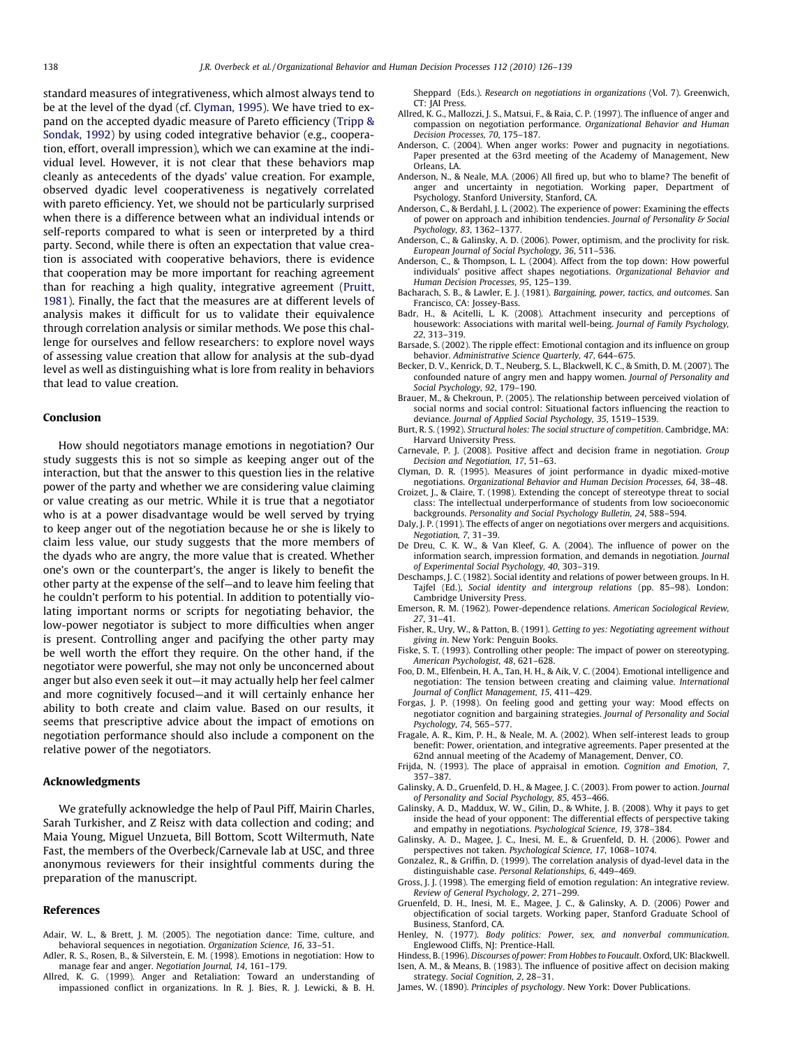<span id="page-12-0"></span>standard measures of integrativeness, which almost always tend to be at the level of the dyad (cf. Clyman, 1995). We have tried to expand on the accepted dyadic measure of Pareto efficiency ([Tripp &](#page-13-0) [Sondak, 1992\)](#page-13-0) by using coded integrative behavior (e.g., cooperation, effort, overall impression), which we can examine at the individual level. However, it is not clear that these behaviors map cleanly as antecedents of the dyads' value creation. For example, observed dyadic level cooperativeness is negatively correlated with pareto efficiency. Yet, we should not be particularly surprised when there is a difference between what an individual intends or self-reports compared to what is seen or interpreted by a third party. Second, while there is often an expectation that value creation is associated with cooperative behaviors, there is evidence that cooperation may be more important for reaching agreement than for reaching a high quality, integrative agreement [\(Pruitt,](#page-13-0) [1981\)](#page-13-0). Finally, the fact that the measures are at different levels of analysis makes it difficult for us to validate their equivalence through correlation analysis or similar methods. We pose this challenge for ourselves and fellow researchers: to explore novel ways of assessing value creation that allow for analysis at the sub-dyad level as well as distinguishing what is lore from reality in behaviors that lead to value creation.

#### Conclusion

How should negotiators manage emotions in negotiation? Our study suggests this is not so simple as keeping anger out of the interaction, but that the answer to this question lies in the relative power of the party and whether we are considering value claiming or value creating as our metric. While it is true that a negotiator who is at a power disadvantage would be well served by trying to keep anger out of the negotiation because he or she is likely to claim less value, our study suggests that the more members of the dyads who are angry, the more value that is created. Whether one's own or the counterpart's, the anger is likely to benefit the other party at the expense of the self—and to leave him feeling that he couldn't perform to his potential. In addition to potentially violating important norms or scripts for negotiating behavior, the low-power negotiator is subject to more difficulties when anger is present. Controlling anger and pacifying the other party may be well worth the effort they require. On the other hand, if the negotiator were powerful, she may not only be unconcerned about anger but also even seek it out—it may actually help her feel calmer and more cognitively focused—and it will certainly enhance her ability to both create and claim value. Based on our results, it seems that prescriptive advice about the impact of emotions on negotiation performance should also include a component on the relative power of the negotiators.

# Acknowledgments

We gratefully acknowledge the help of Paul Piff, Mairin Charles, Sarah Turkisher, and Z Reisz with data collection and coding; and Maia Young, Miguel Unzueta, Bill Bottom, Scott Wiltermuth, Nate Fast, the members of the Overbeck/Carnevale lab at USC, and three anonymous reviewers for their insightful comments during the preparation of the manuscript.

#### References

- Adair, W. L., & Brett, J. M. (2005). The negotiation dance: Time, culture, and behavioral sequences in negotiation. Organization Science, 16, 33–51.
- Adler, R. S., Rosen, B., & Silverstein, E. M. (1998). Emotions in negotiation: How to manage fear and anger. Negotiation Journal, 14, 161–179.
- Allred, K. G. (1999). Anger and Retaliation: Toward an understanding of impassioned conflict in organizations. In R. J. Bies, R. J. Lewicki, & B. H.

Sheppard (Eds.). Research on negotiations in organizations (Vol. 7). Greenwich, CT: JAI Press.

- Allred, K. G., Mallozzi, J. S., Matsui, F., & Raia, C. P. (1997). The influence of anger and compassion on negotiation performance. Organizational Behavior and Human Decision Processes, 70, 175–187.
- Anderson, C. (2004). When anger works: Power and pugnacity in negotiations. Paper presented at the 63rd meeting of the Academy of Management, New Orleans, LA.
- Anderson, N., & Neale, M.A. (2006) All fired up, but who to blame? The benefit of anger and uncertainty in negotiation. Working paper, Department of Psychology, Stanford University, Stanford, CA.
- Anderson, C., & Berdahl, J. L. (2002). The experience of power: Examining the effects of power on approach and inhibition tendencies. Journal of Personality & Social Psychology, 83, 1362–1377.
- Anderson, C., & Galinsky, A. D. (2006). Power, optimism, and the proclivity for risk. European Journal of Social Psychology, 36, 511–536.
- Anderson, C., & Thompson, L. L. (2004). Affect from the top down: How powerful individuals' positive affect shapes negotiations. Organizational Behavior and Human Decision Processes, 95, 125–139.
- Bacharach, S. B., & Lawler, E. J. (1981). Bargaining, power, tactics, and outcomes. San Francisco, CA: Jossey-Bass.
- Badr, H., & Acitelli, L. K. (2008). Attachment insecurity and perceptions of housework: Associations with marital well-being. Journal of Family Psychology, 22, 313–319.
- Barsade, S. (2002). The ripple effect: Emotional contagion and its influence on group behavior. Administrative Science Quarterly, 47, 644–675.
- Becker, D. V., Kenrick, D. T., Neuberg, S. L., Blackwell, K. C., & Smith, D. M. (2007). The confounded nature of angry men and happy women. Journal of Personality and Social Psychology, 92, 179–190.
- Brauer, M., & Chekroun, P. (2005). The relationship between perceived violation of social norms and social control: Situational factors influencing the reaction to deviance. Journal of Applied Social Psychology, 35, 1519–1539.
- Burt, R. S. (1992). Structural holes: The social structure of competition. Cambridge, MA: Harvard University Press.
- Carnevale, P. J. (2008). Positive affect and decision frame in negotiation. Group Decision and Negotiation, 17, 51–63.
- Clyman, D. R. (1995). Measures of joint performance in dyadic mixed-motive negotiations. Organizational Behavior and Human Decision Processes, 64, 38–48.
- Croizet, J., & Claire, T. (1998). Extending the concept of stereotype threat to social class: The intellectual underperformance of students from low socioeconomic backgrounds. Personality and Social Psychology Bulletin, 24, 588–594.
- Daly, J. P. (1991). The effects of anger on negotiations over mergers and acquisitions. Negotiation, 7, 31–39.
- De Dreu, C. K. W., & Van Kleef, G. A. (2004). The influence of power on the information search, impression formation, and demands in negotiation. Journal of Experimental Social Psychology, 40, 303–319.
- Deschamps, J. C. (1982). Social identity and relations of power between groups. In H. Tajfel (Ed.), Social identity and intergroup relations (pp. 85–98). London: Cambridge University Press.
- Emerson, R. M. (1962). Power-dependence relations. American Sociological Review, 27, 31–41.
- Fisher, R., Ury, W., & Patton, B. (1991). Getting to yes: Negotiating agreement without giving in. New York: Penguin Books.
- Fiske, S. T. (1993). Controlling other people: The impact of power on stereotyping. American Psychologist, 48, 621–628.
- Foo, D. M., Elfenbein, H. A., Tan, H. H., & Aik, V. C. (2004). Emotional intelligence and negotiation: The tension between creating and claiming value. International Journal of Conflict Management, 15, 411–429.
- Forgas, J. P. (1998). On feeling good and getting your way: Mood effects on negotiator cognition and bargaining strategies. Journal of Personality and Social Psychology, 74, 565–577.
- Fragale, A. R., Kim, P. H., & Neale, M. A. (2002). When self-interest leads to group benefit: Power, orientation, and integrative agreements. Paper presented at the 62nd annual meeting of the Academy of Management, Denver, CO.
- Frijda, N. (1993). The place of appraisal in emotion. Cognition and Emotion, 7, 357–387.
- Galinsky, A. D., Gruenfeld, D. H., & Magee, J. C. (2003). From power to action. Journal of Personality and Social Psychology, 85, 453–466.
- Galinsky, A. D., Maddux, W. W., Gilin, D., & White, J. B. (2008). Why it pays to get inside the head of your opponent: The differential effects of perspective taking and empathy in negotiations. Psychological Science, 19, 378–384.
- Galinsky, A. D., Magee, J. C., Inesi, M. E., & Gruenfeld, D. H. (2006). Power and perspectives not taken. Psychological Science, 17, 1068–1074.
- Gonzalez, R., & Griffin, D. (1999). The correlation analysis of dyad-level data in the distinguishable case. Personal Relationships, 6, 449–469.
- Gross, J. J. (1998). The emerging field of emotion regulation: An integrative review. Review of General Psychology, 2, 271–299.
- Gruenfeld, D. H., Inesi, M. E., Magee, J. C., & Galinsky, A. D. (2006) Power and objectification of social targets. Working paper, Stanford Graduate School of Business, Stanford, CA.
- Henley, N. (1977). Body politics: Power, sex, and nonverbal communication. Englewood Cliffs, NJ: Prentice-Hall.
- Hindess, B. (1996). Discourses of power: From Hobbes to Foucault. Oxford, UK: Blackwell. Isen, A. M., & Means, B. (1983). The influence of positive affect on decision making strategy. Social Cognition, 2, 28–31.
- James, W. (1890). Principles of psychology. New York: Dover Publications.